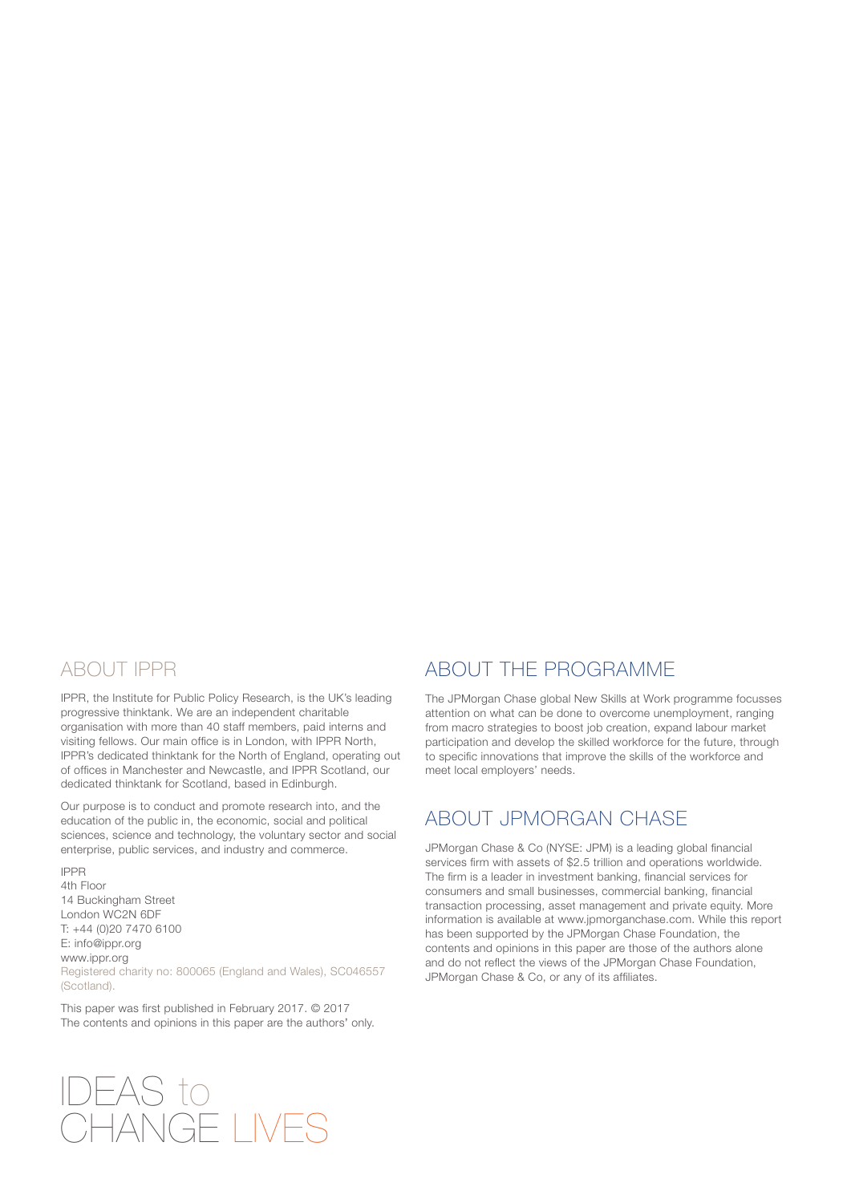### ABOUT IPPR

IPPR, the Institute for Public Policy Research, is the UK's leading progressive thinktank. We are an independent charitable organisation with more than 40 staff members, paid interns and visiting fellows. Our main office is in London, with IPPR North, IPPR's dedicated thinktank for the North of England, operating out of offices in Manchester and Newcastle, and IPPR Scotland, our dedicated thinktank for Scotland, based in Edinburgh.

Our purpose is to conduct and promote research into, and the education of the public in, the economic, social and political sciences, science and technology, the voluntary sector and social enterprise, public services, and industry and commerce.

IPPR 4th Floor 14 Buckingham Street London WC2N 6DF T: +44 (0)20 7470 6100 E: info@ippr.org www.ippr.org Registered charity no: 800065 (England and Wales), SC046557 (Scotland).

This paper was first published in February 2017. © 2017 The contents and opinions in this paper are the authors' only.

### ABOUT THE PROGRAMME

The JPMorgan Chase global New Skills at Work programme focusses attention on what can be done to overcome unemployment, ranging from macro strategies to boost job creation, expand labour market participation and develop the skilled workforce for the future, through to specific innovations that improve the skills of the workforce and meet local employers' needs.

### ABOUT JPMORGAN CHASE

JPMorgan Chase & Co (NYSE: JPM) is a leading global financial services firm with assets of \$2.5 trillion and operations worldwide. The firm is a leader in investment banking, financial services for consumers and small businesses, commercial banking, financial transaction processing, asset management and private equity. More information is available at www.jpmorganchase.com. While this report has been supported by the JPMorgan Chase Foundation, the contents and opinions in this paper are those of the authors alone and do not reflect the views of the JPMorgan Chase Foundation, JPMorgan Chase & Co, or any of its affiliates.

# IDEAS to CHANGE LIVES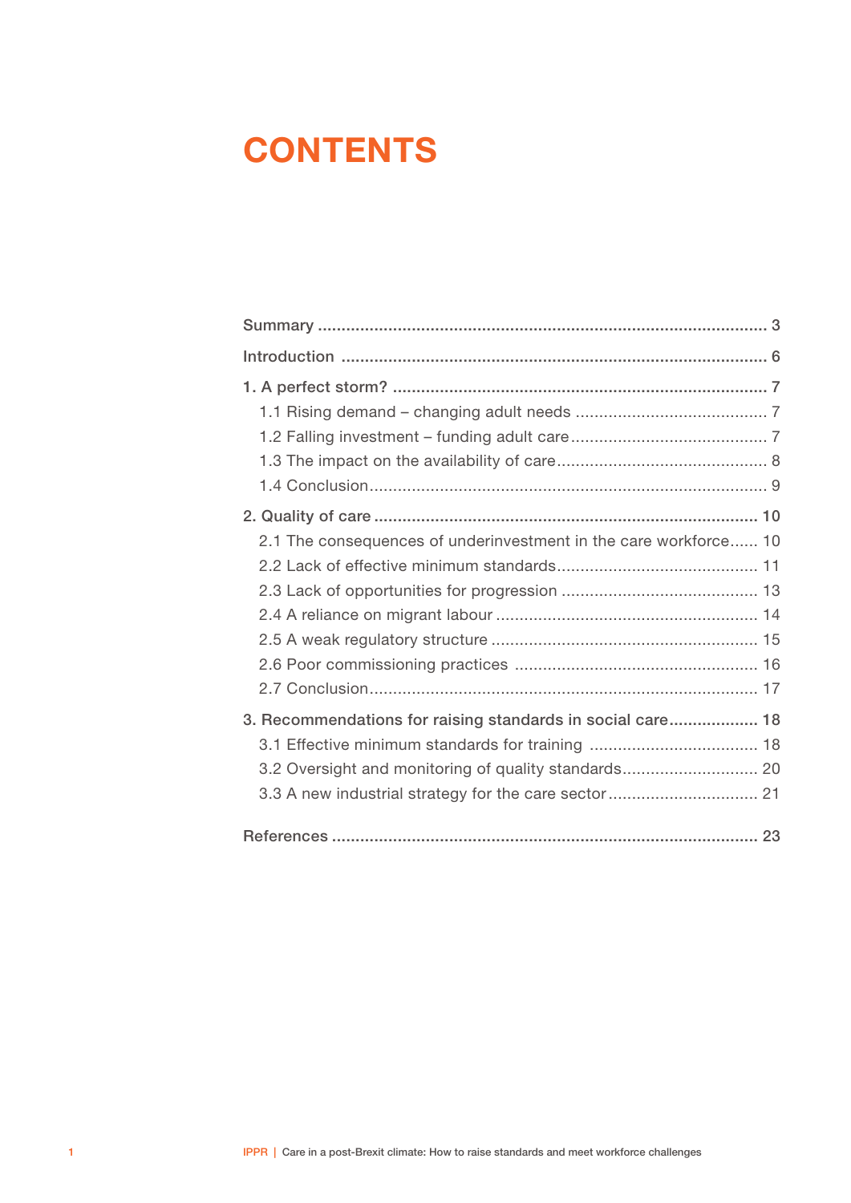# **CONTENTS**

| 2.1 The consequences of underinvestment in the care workforce 10                                                                                                            |  |
|-----------------------------------------------------------------------------------------------------------------------------------------------------------------------------|--|
| 3. Recommendations for raising standards in social care 18<br>3.2 Oversight and monitoring of quality standards 20<br>3.3 A new industrial strategy for the care sector  21 |  |
|                                                                                                                                                                             |  |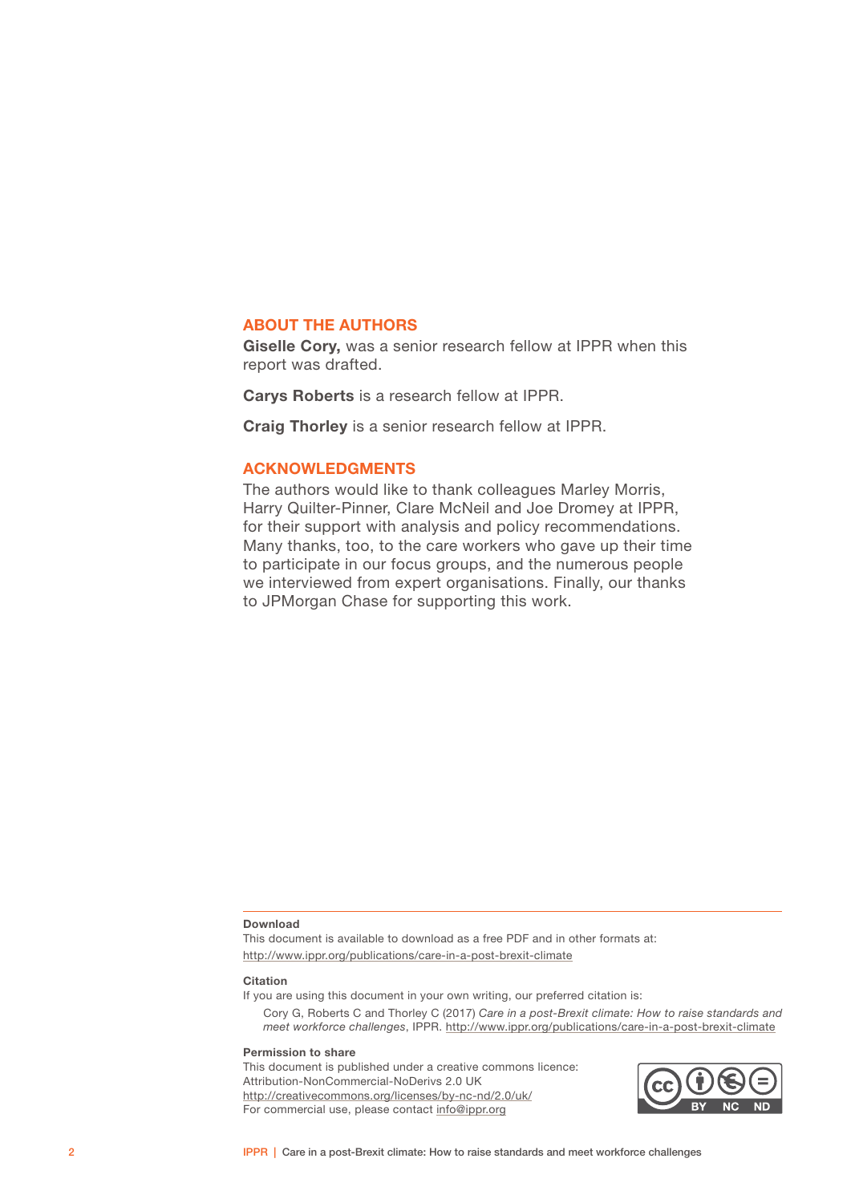#### ABOUT THE AUTHORS

Giselle Cory, was a senior research fellow at IPPR when this report was drafted.

Carys Roberts is a research fellow at IPPR.

Craig Thorley is a senior research fellow at IPPR.

#### ACKNOWLEDGMENTS

The authors would like to thank colleagues Marley Morris, Harry Quilter-Pinner, Clare McNeil and Joe Dromey at IPPR, for their support with analysis and policy recommendations. Many thanks, too, to the care workers who gave up their time to participate in our focus groups, and the numerous people we interviewed from expert organisations. Finally, our thanks to JPMorgan Chase for supporting this work.

#### Download

This document is available to download as a free PDF and in other formats at: [http://www.ippr.org/publications/c](http://www.ippr.org/publications/care-in-a-post-brexit-climate)are-in-a-post-brexit-climate

#### **Citation**

If you are using this document in your own writing, our preferred citation is:

Cory G, Roberts C and Thorley C (2017) *Care in a post-Brexit climate: How to raise standards and meet workforce challenges*, IPPR. [http://www.ippr.org/publications/c](http://www.ippr.org/publications/care-in-a-post-brexit-climate)are-in-a-post-brexit-climate

#### Permission to share

This document is published under a creative commons licence: Attribution-NonCommercial-NoDerivs 2.0 UK <http://creativecommons.org/licenses/by-nc-nd/2.0/uk/> For commercial use, please contact<info@ippr.org>

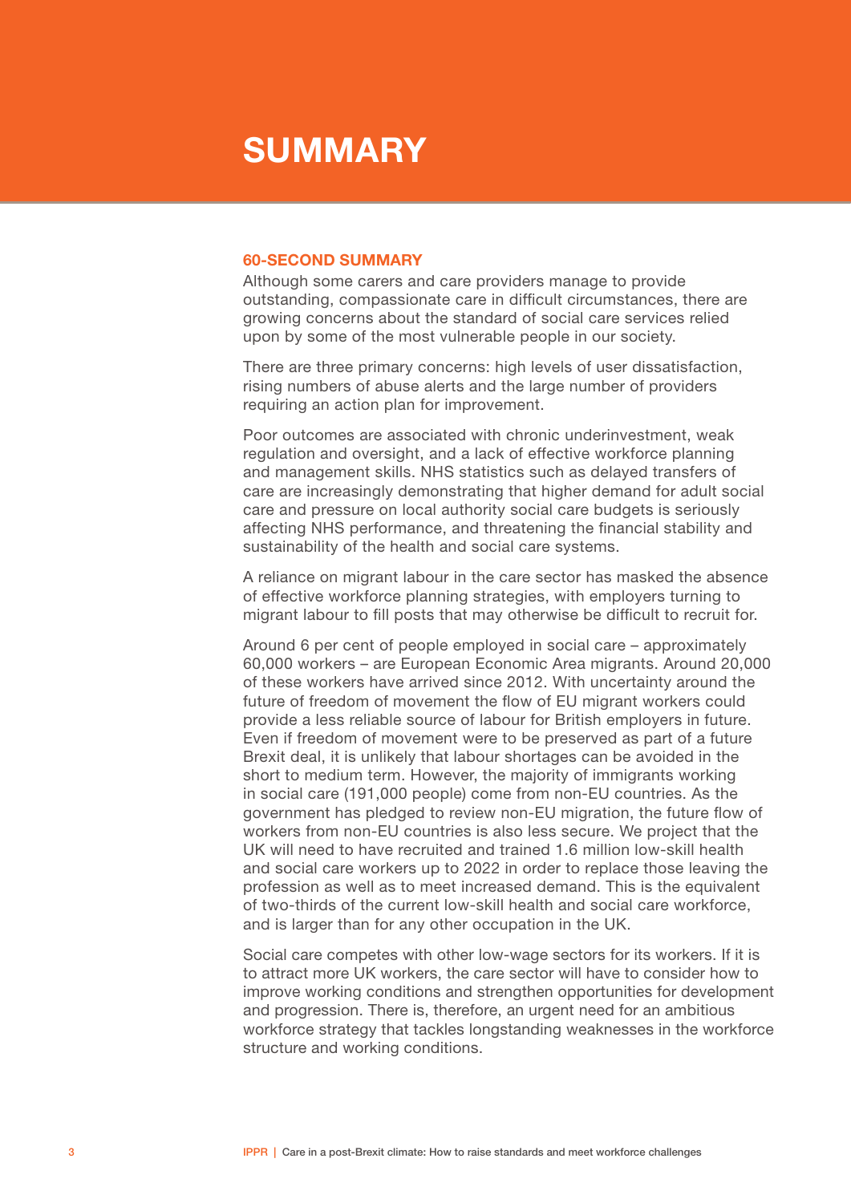### <span id="page-4-0"></span>**SUMMARY**

#### 60-SECOND SUMMARY

Although some carers and care providers manage to provide outstanding, compassionate care in difficult circumstances, there are growing concerns about the standard of social care services relied upon by some of the most vulnerable people in our society.

There are three primary concerns: high levels of user dissatisfaction, rising numbers of abuse alerts and the large number of providers requiring an action plan for improvement.

Poor outcomes are associated with chronic underinvestment, weak regulation and oversight, and a lack of effective workforce planning and management skills. NHS statistics such as delayed transfers of care are increasingly demonstrating that higher demand for adult social care and pressure on local authority social care budgets is seriously affecting NHS performance, and threatening the financial stability and sustainability of the health and social care systems.

A reliance on migrant labour in the care sector has masked the absence of effective workforce planning strategies, with employers turning to migrant labour to fill posts that may otherwise be difficult to recruit for.

Around 6 per cent of people employed in social care – approximately 60,000 workers – are European Economic Area migrants. Around 20,000 of these workers have arrived since 2012. With uncertainty around the future of freedom of movement the flow of EU migrant workers could provide a less reliable source of labour for British employers in future. Even if freedom of movement were to be preserved as part of a future Brexit deal, it is unlikely that labour shortages can be avoided in the short to medium term. However, the majority of immigrants working in social care (191,000 people) come from non-EU countries. As the government has pledged to review non-EU migration, the future flow of workers from non-EU countries is also less secure. We project that the UK will need to have recruited and trained 1.6 million low-skill health and social care workers up to 2022 in order to replace those leaving the profession as well as to meet increased demand. This is the equivalent of two-thirds of the current low-skill health and social care workforce, and is larger than for any other occupation in the UK.

Social care competes with other low-wage sectors for its workers. If it is to attract more UK workers, the care sector will have to consider how to improve working conditions and strengthen opportunities for development and progression. There is, therefore, an urgent need for an ambitious workforce strategy that tackles longstanding weaknesses in the workforce structure and working conditions.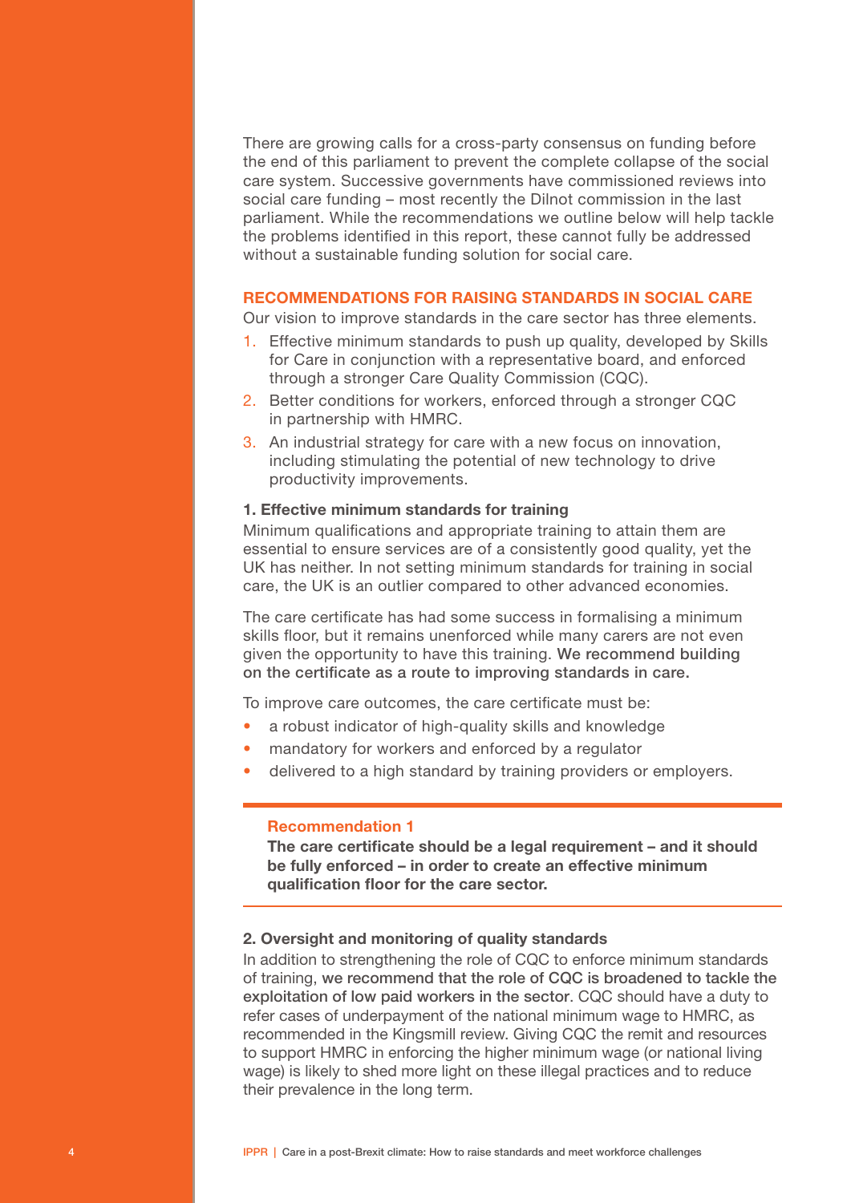There are growing calls for a cross-party consensus on funding before the end of this parliament to prevent the complete collapse of the social care system. Successive governments have commissioned reviews into social care funding – most recently the Dilnot commission in the last parliament. While the recommendations we outline below will help tackle the problems identified in this report, these cannot fully be addressed without a sustainable funding solution for social care.

#### RECOMMENDATIONS FOR RAISING STANDARDS IN SOCIAL CARE

Our vision to improve standards in the care sector has three elements.

- 1. Effective minimum standards to push up quality, developed by Skills for Care in conjunction with a representative board, and enforced through a stronger Care Quality Commission (CQC).
- 2. Better conditions for workers, enforced through a stronger CQC in partnership with HMRC.
- 3. An industrial strategy for care with a new focus on innovation, including stimulating the potential of new technology to drive productivity improvements.

#### 1. Effective minimum standards for training

Minimum qualifications and appropriate training to attain them are essential to ensure services are of a consistently good quality, yet the UK has neither. In not setting minimum standards for training in social care, the UK is an outlier compared to other advanced economies.

The care certificate has had some success in formalising a minimum skills floor, but it remains unenforced while many carers are not even given the opportunity to have this training. We recommend building on the certificate as a route to improving standards in care.

To improve care outcomes, the care certificate must be:

- a robust indicator of high-quality skills and knowledge
- mandatory for workers and enforced by a regulator
- delivered to a high standard by training providers or employers.

#### Recommendation 1

The care certificate should be a legal requirement – and it should be fully enforced – in order to create an effective minimum qualification floor for the care sector.

#### 2. Oversight and monitoring of quality standards

In addition to strengthening the role of CQC to enforce minimum standards of training, we recommend that the role of CQC is broadened to tackle the exploitation of low paid workers in the sector. CQC should have a duty to refer cases of underpayment of the national minimum wage to HMRC, as recommended in the Kingsmill review. Giving CQC the remit and resources to support HMRC in enforcing the higher minimum wage (or national living wage) is likely to shed more light on these illegal practices and to reduce their prevalence in the long term.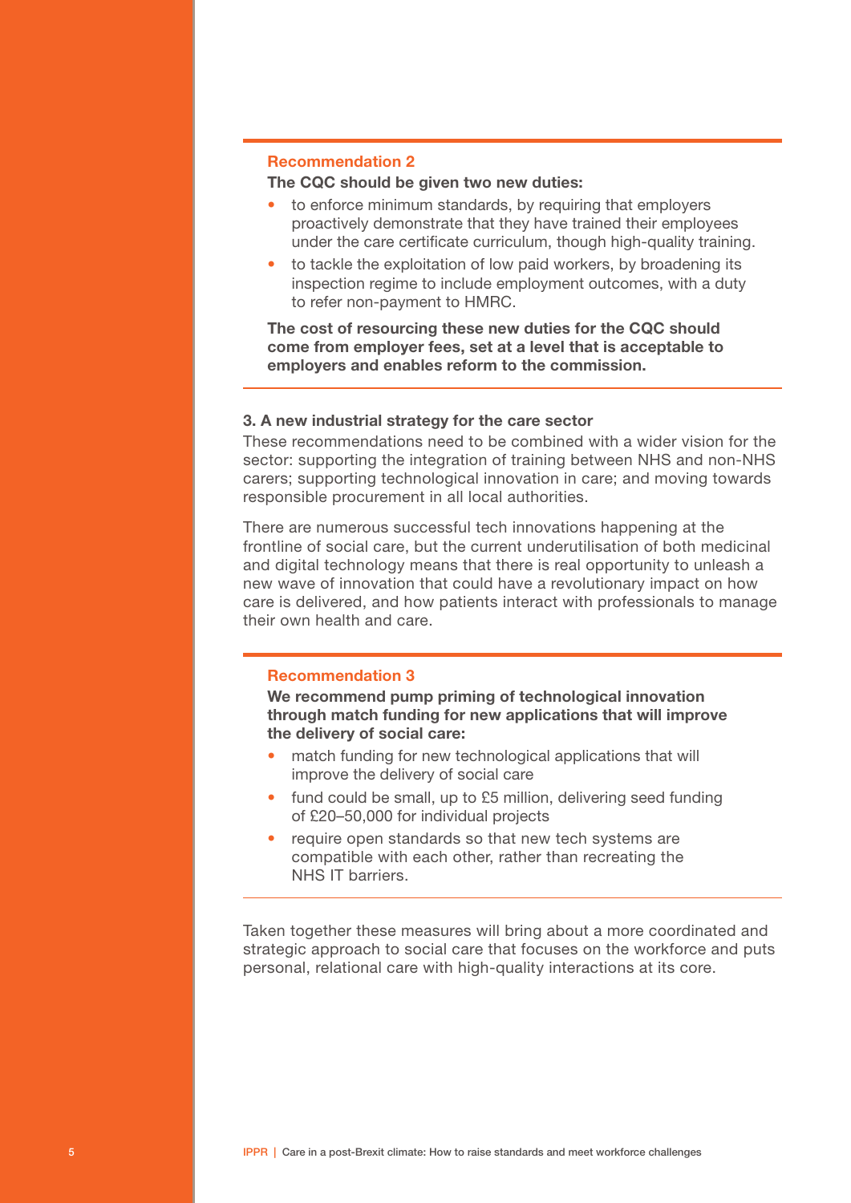#### Recommendation 2

### The CQC should be given two new duties:

- to enforce minimum standards, by requiring that employers proactively demonstrate that they have trained their employees under the care certificate curriculum, though high-quality training.
- to tackle the exploitation of low paid workers, by broadening its inspection regime to include employment outcomes, with a duty to refer non-payment to HMRC.

The cost of resourcing these new duties for the CQC should come from employer fees, set at a level that is acceptable to employers and enables reform to the commission.

#### 3. A new industrial strategy for the care sector

These recommendations need to be combined with a wider vision for the sector: supporting the integration of training between NHS and non-NHS carers; supporting technological innovation in care; and moving towards responsible procurement in all local authorities.

There are numerous successful tech innovations happening at the frontline of social care, but the current underutilisation of both medicinal and digital technology means that there is real opportunity to unleash a new wave of innovation that could have a revolutionary impact on how care is delivered, and how patients interact with professionals to manage their own health and care.

#### Recommendation 3

We recommend pump priming of technological innovation through match funding for new applications that will improve the delivery of social care:

- match funding for new technological applications that will improve the delivery of social care
- fund could be small, up to £5 million, delivering seed funding of £20–50,000 for individual projects
- require open standards so that new tech systems are compatible with each other, rather than recreating the NHS IT barriers.

Taken together these measures will bring about a more coordinated and strategic approach to social care that focuses on the workforce and puts personal, relational care with high-quality interactions at its core.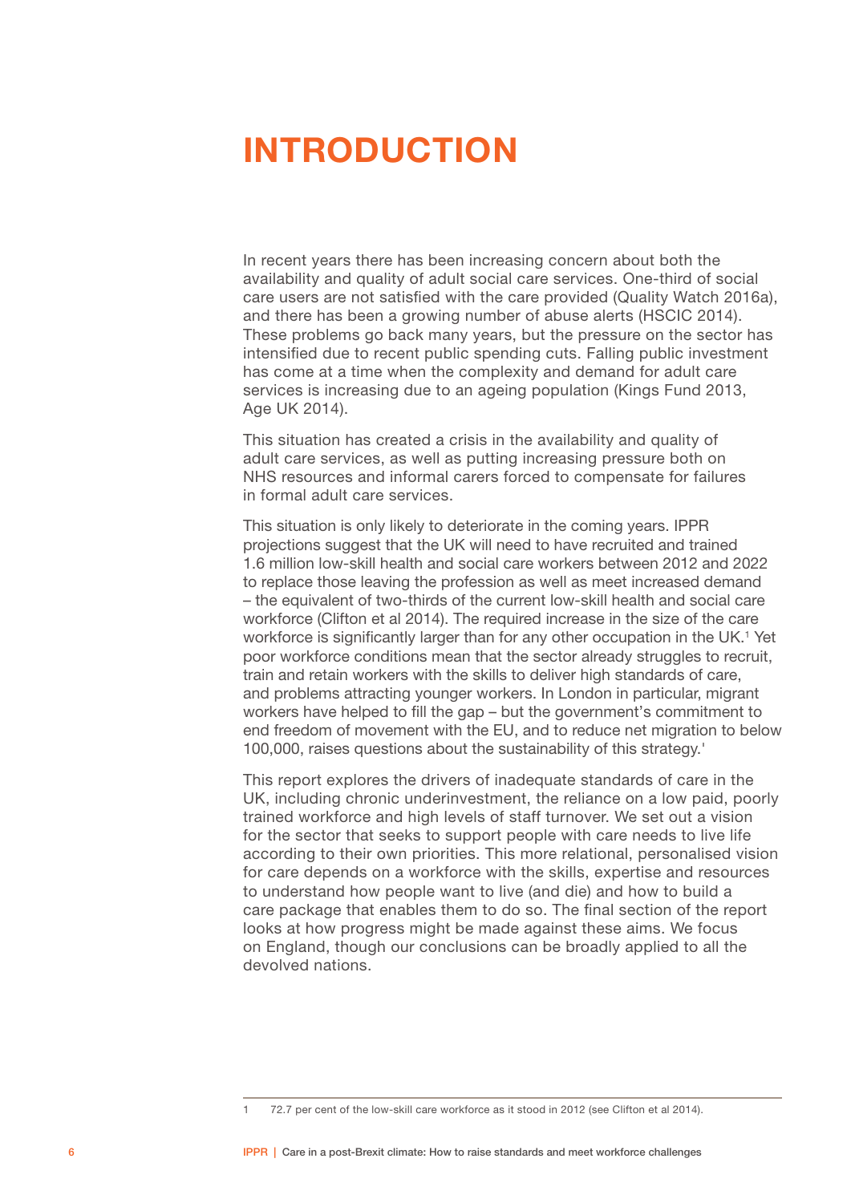## <span id="page-7-0"></span>INTRODUCTION

In recent years there has been increasing concern about both the availability and quality of adult social care services. One-third of social care users are not satisfied with the care provided (Quality Watch 2016a), and there has been a growing number of abuse alerts (HSCIC 2014). These problems go back many years, but the pressure on the sector has intensified due to recent public spending cuts. Falling public investment has come at a time when the complexity and demand for adult care services is increasing due to an ageing population (Kings Fund 2013, Age UK 2014).

This situation has created a crisis in the availability and quality of adult care services, as well as putting increasing pressure both on NHS resources and informal carers forced to compensate for failures in formal adult care services.

This situation is only likely to deteriorate in the coming years. IPPR projections suggest that the UK will need to have recruited and trained 1.6 million low-skill health and social care workers between 2012 and 2022 to replace those leaving the profession as well as meet increased demand – the equivalent of two-thirds of the current low-skill health and social care workforce (Clifton et al 2014). The required increase in the size of the care workforce is significantly larger than for any other occupation in the UK.<sup>1</sup> Yet poor workforce conditions mean that the sector already struggles to recruit, train and retain workers with the skills to deliver high standards of care, and problems attracting younger workers. In London in particular, migrant workers have helped to fill the gap – but the government's commitment to end freedom of movement with the EU, and to reduce net migration to below 100,000, raises questions about the sustainability of this strategy.'

This report explores the drivers of inadequate standards of care in the UK, including chronic underinvestment, the reliance on a low paid, poorly trained workforce and high levels of staff turnover. We set out a vision for the sector that seeks to support people with care needs to live life according to their own priorities. This more relational, personalised vision for care depends on a workforce with the skills, expertise and resources to understand how people want to live (and die) and how to build a care package that enables them to do so. The final section of the report looks at how progress might be made against these aims. We focus on England, though our conclusions can be broadly applied to all the devolved nations.

<sup>1 72.7</sup> per cent of the low-skill care workforce as it stood in 2012 (see Clifton et al 2014).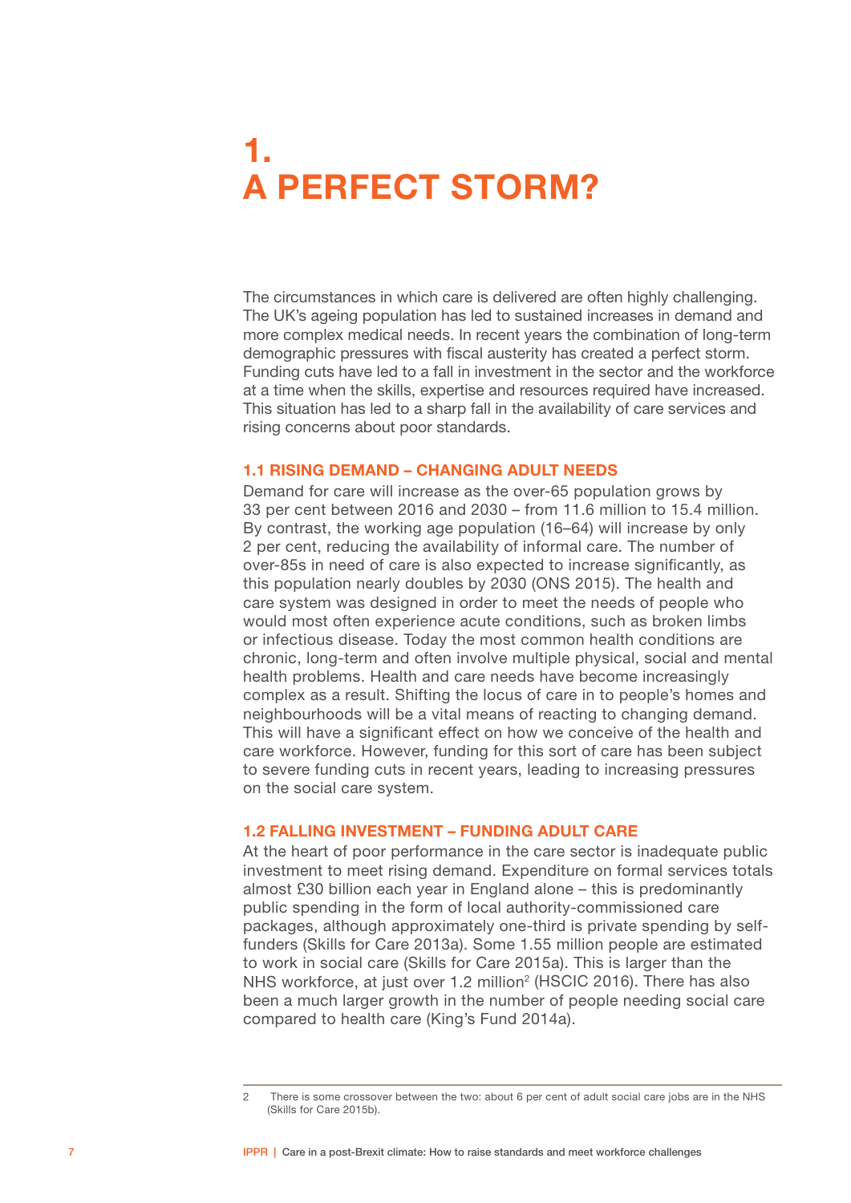# <span id="page-8-0"></span>1. A PERFECT STORM?

The circumstances in which care is delivered are often highly challenging. The UK's ageing population has led to sustained increases in demand and more complex medical needs. In recent years the combination of long-term demographic pressures with fiscal austerity has created a perfect storm. Funding cuts have led to a fall in investment in the sector and the workforce at a time when the skills, expertise and resources required have increased. This situation has led to a sharp fall in the availability of care services and rising concerns about poor standards.

#### 1.1 RISING DEMAND – CHANGING ADULT NEEDS

Demand for care will increase as the over-65 population grows by 33 per cent between 2016 and 2030 – from 11.6 million to 15.4 million. By contrast, the working age population (16–64) will increase by only 2 per cent, reducing the availability of informal care. The number of over-85s in need of care is also expected to increase significantly, as this population nearly doubles by 2030 (ONS 2015). The health and care system was designed in order to meet the needs of people who would most often experience acute conditions, such as broken limbs or infectious disease. Today the most common health conditions are chronic, long-term and often involve multiple physical, social and mental health problems. Health and care needs have become increasingly complex as a result. Shifting the locus of care in to people's homes and neighbourhoods will be a vital means of reacting to changing demand. This will have a significant effect on how we conceive of the health and care workforce. However, funding for this sort of care has been subject to severe funding cuts in recent years, leading to increasing pressures on the social care system.

#### 1.2 FALLING INVESTMENT – FUNDING ADULT CARE

At the heart of poor performance in the care sector is inadequate public investment to meet rising demand. Expenditure on formal services totals almost £30 billion each year in England alone – this is predominantly public spending in the form of local authority-commissioned care packages, although approximately one-third is private spending by selffunders (Skills for Care 2013a). Some 1.55 million people are estimated to work in social care (Skills for Care 2015a). This is larger than the NHS workforce, at just over 1.2 million<sup>2</sup> (HSCIC 2016). There has also been a much larger growth in the number of people needing social care compared to health care (King's Fund 2014a).

<sup>2</sup> There is some crossover between the two: about 6 per cent of adult social care jobs are in the NHS (Skills for Care 2015b).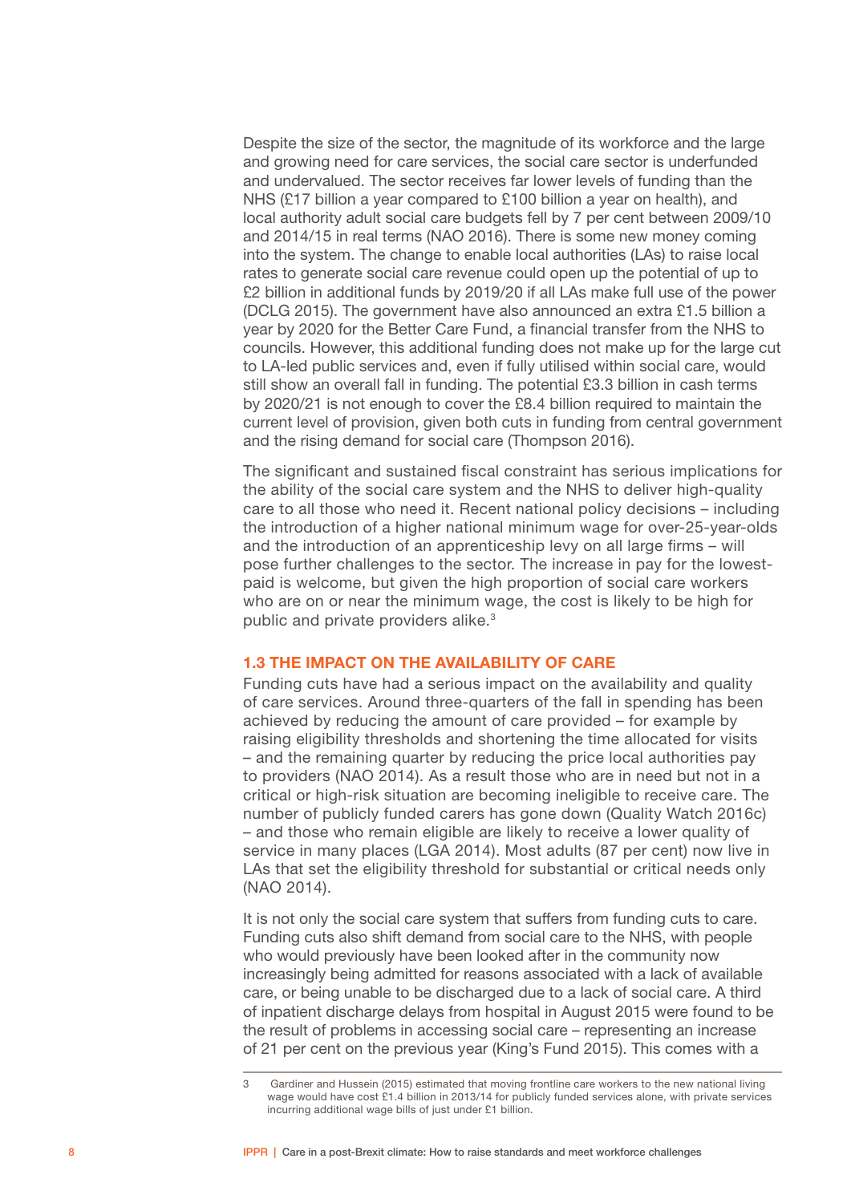<span id="page-9-0"></span>Despite the size of the sector, the magnitude of its workforce and the large and growing need for care services, the social care sector is underfunded and undervalued. The sector receives far lower levels of funding than the NHS (£17 billion a year compared to £100 billion a year on health), and local authority adult social care budgets fell by 7 per cent between 2009/10 and 2014/15 in real terms (NAO 2016). There is some new money coming into the system. The change to enable local authorities (LAs) to raise local rates to generate social care revenue could open up the potential of up to £2 billion in additional funds by 2019/20 if all LAs make full use of the power (DCLG 2015). The government have also announced an extra £1.5 billion a year by 2020 for the Better Care Fund, a financial transfer from the NHS to councils. However, this additional funding does not make up for the large cut to LA-led public services and, even if fully utilised within social care, would still show an overall fall in funding. The potential £3.3 billion in cash terms by 2020/21 is not enough to cover the £8.4 billion required to maintain the current level of provision, given both cuts in funding from central government and the rising demand for social care (Thompson 2016).

The significant and sustained fiscal constraint has serious implications for the ability of the social care system and the NHS to deliver high-quality care to all those who need it. Recent national policy decisions – including the introduction of a higher national minimum wage for over-25-year-olds and the introduction of an apprenticeship levy on all large firms – will pose further challenges to the sector. The increase in pay for the lowestpaid is welcome, but given the high proportion of social care workers who are on or near the minimum wage, the cost is likely to be high for public and private providers alike.<sup>3</sup>

#### 1.3 THE IMPACT ON THE AVAILABILITY OF CARE

Funding cuts have had a serious impact on the availability and quality of care services. Around three-quarters of the fall in spending has been achieved by reducing the amount of care provided – for example by raising eligibility thresholds and shortening the time allocated for visits – and the remaining quarter by reducing the price local authorities pay to providers (NAO 2014). As a result those who are in need but not in a critical or high-risk situation are becoming ineligible to receive care. The number of publicly funded carers has gone down (Quality Watch 2016c) – and those who remain eligible are likely to receive a lower quality of service in many places (LGA 2014). Most adults (87 per cent) now live in LAs that set the eligibility threshold for substantial or critical needs only (NAO 2014).

It is not only the social care system that suffers from funding cuts to care. Funding cuts also shift demand from social care to the NHS, with people who would previously have been looked after in the community now increasingly being admitted for reasons associated with a lack of available care, or being unable to be discharged due to a lack of social care. A third of inpatient discharge delays from hospital in August 2015 were found to be the result of problems in accessing social care – representing an increase of 21 per cent on the previous year (King's Fund 2015). This comes with a

<sup>3</sup> Gardiner and Hussein (2015) estimated that moving frontline care workers to the new national living wage would have cost £1.4 billion in 2013/14 for publicly funded services alone, with private services incurring additional wage bills of just under £1 billion.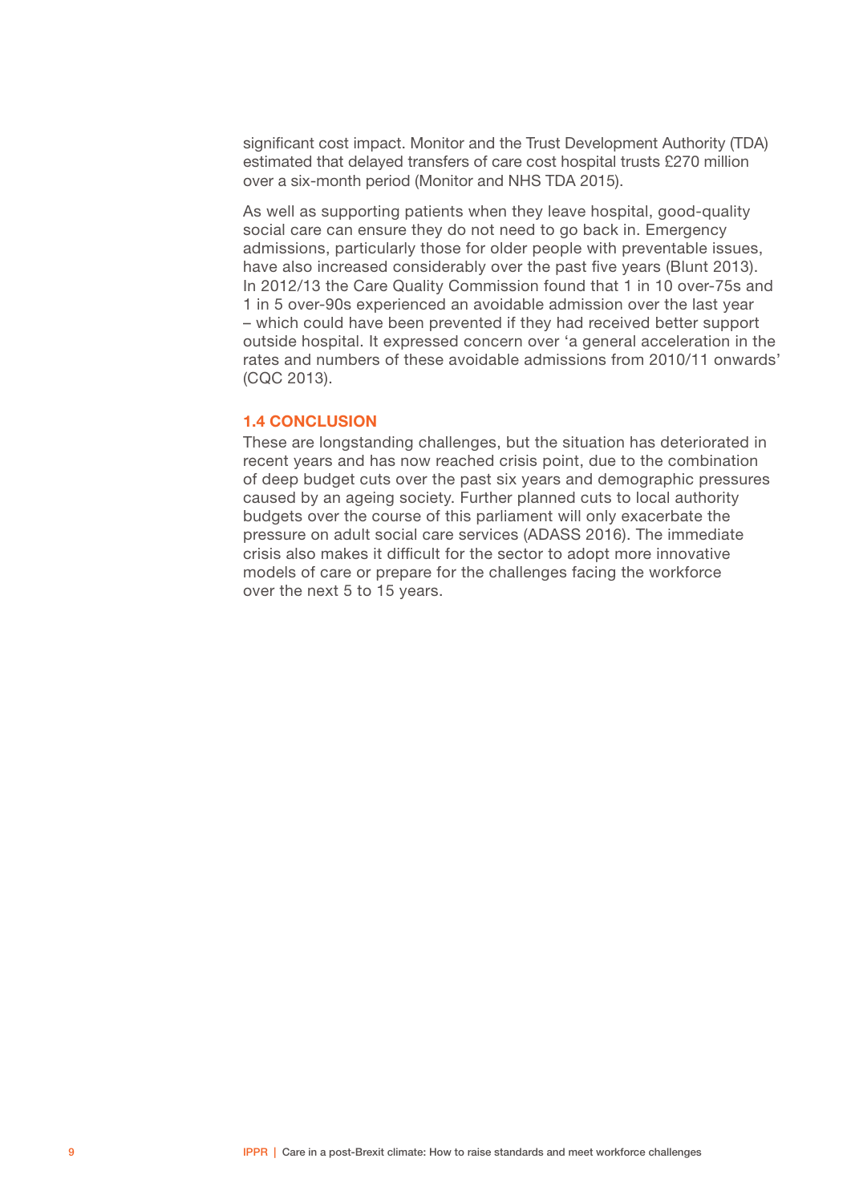<span id="page-10-0"></span>significant cost impact. Monitor and the Trust Development Authority (TDA) estimated that delayed transfers of care cost hospital trusts £270 million over a six-month period (Monitor and NHS TDA 2015).

As well as supporting patients when they leave hospital, good-quality social care can ensure they do not need to go back in. Emergency admissions, particularly those for older people with preventable issues, have also increased considerably over the past five years (Blunt 2013). In 2012/13 the Care Quality Commission found that 1 in 10 over-75s and 1 in 5 over-90s experienced an avoidable admission over the last year – which could have been prevented if they had received better support outside hospital. It expressed concern over 'a general acceleration in the rates and numbers of these avoidable admissions from 2010/11 onwards' (CQC 2013).

#### 1.4 CONCLUSION

These are longstanding challenges, but the situation has deteriorated in recent years and has now reached crisis point, due to the combination of deep budget cuts over the past six years and demographic pressures caused by an ageing society. Further planned cuts to local authority budgets over the course of this parliament will only exacerbate the pressure on adult social care services (ADASS 2016). The immediate crisis also makes it difficult for the sector to adopt more innovative models of care or prepare for the challenges facing the workforce over the next 5 to 15 years.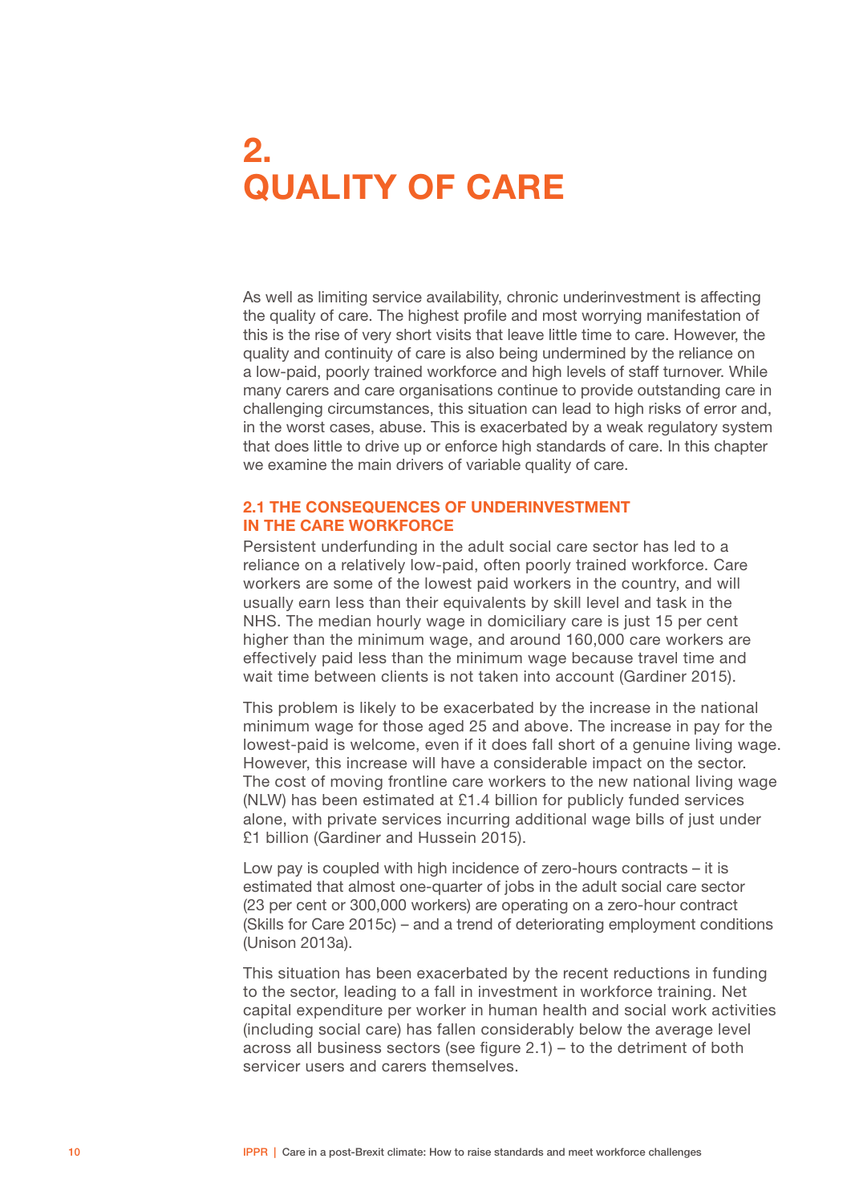# <span id="page-11-0"></span>2. QUALITY OF CARE

As well as limiting service availability, chronic underinvestment is affecting the quality of care. The highest profile and most worrying manifestation of this is the rise of very short visits that leave little time to care. However, the quality and continuity of care is also being undermined by the reliance on a low-paid, poorly trained workforce and high levels of staff turnover. While many carers and care organisations continue to provide outstanding care in challenging circumstances, this situation can lead to high risks of error and, in the worst cases, abuse. This is exacerbated by a weak regulatory system that does little to drive up or enforce high standards of care. In this chapter we examine the main drivers of variable quality of care.

#### 2.1 THE CONSEQUENCES OF UNDERINVESTMENT IN THE CARE WORKFORCE

Persistent underfunding in the adult social care sector has led to a reliance on a relatively low-paid, often poorly trained workforce. Care workers are some of the lowest paid workers in the country, and will usually earn less than their equivalents by skill level and task in the NHS. The median hourly wage in domiciliary care is just 15 per cent higher than the minimum wage, and around 160,000 care workers are effectively paid less than the minimum wage because travel time and wait time between clients is not taken into account (Gardiner 2015).

This problem is likely to be exacerbated by the increase in the national minimum wage for those aged 25 and above. The increase in pay for the lowest-paid is welcome, even if it does fall short of a genuine living wage. However, this increase will have a considerable impact on the sector. The cost of moving frontline care workers to the new national living wage (NLW) has been estimated at £1.4 billion for publicly funded services alone, with private services incurring additional wage bills of just under £1 billion (Gardiner and Hussein 2015).

Low pay is coupled with high incidence of zero-hours contracts – it is estimated that almost one-quarter of jobs in the adult social care sector (23 per cent or 300,000 workers) are operating on a zero-hour contract (Skills for Care 2015c) – and a trend of deteriorating employment conditions (Unison 2013a).

This situation has been exacerbated by the recent reductions in funding to the sector, leading to a fall in investment in workforce training. Net capital expenditure per worker in human health and social work activities (including social care) has fallen considerably below the average level across all business sectors (see figure 2.1) – to the detriment of both servicer users and carers themselves.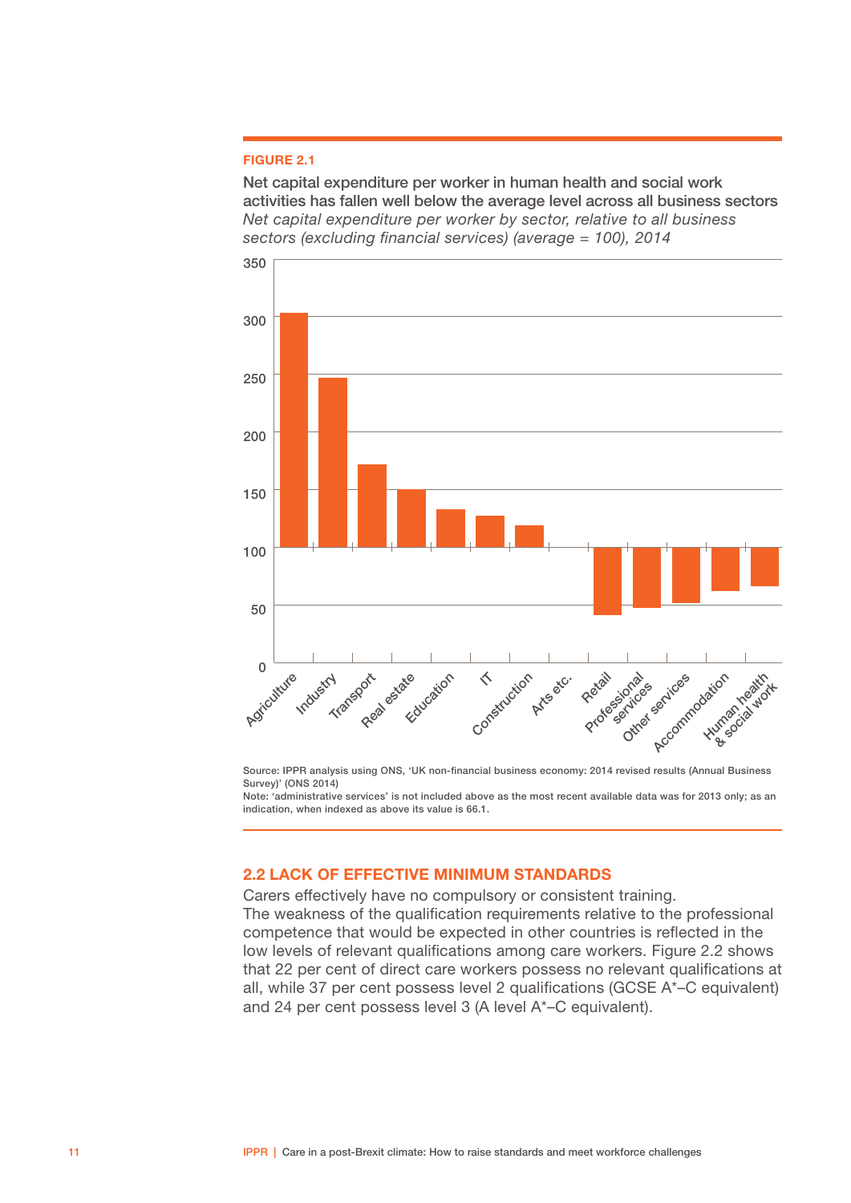#### <span id="page-12-0"></span>FIGURE 2.1

Net capital expenditure per worker in human health and social work activities has fallen well below the average level across all business sectors *Net capital expenditure per worker by sector, relative to all business sectors (excluding financial services) (average = 100), 2014*



Source: IPPR analysis using ONS, 'UK non-financial business economy: 2014 revised results (Annual Business Survey)' (ONS 2014)

Note: 'administrative services' is not included above as the most recent available data was for 2013 only; as an indication, when indexed as above its value is 66.1.

#### 2.2 LACK OF EFFECTIVE MINIMUM STANDARDS

Carers effectively have no compulsory or consistent training. The weakness of the qualification requirements relative to the professional competence that would be expected in other countries is reflected in the low levels of relevant qualifications among care workers. Figure 2.2 shows that 22 per cent of direct care workers possess no relevant qualifications at all, while 37 per cent possess level 2 qualifications (GCSE A\*–C equivalent) and 24 per cent possess level 3 (A level A\*–C equivalent).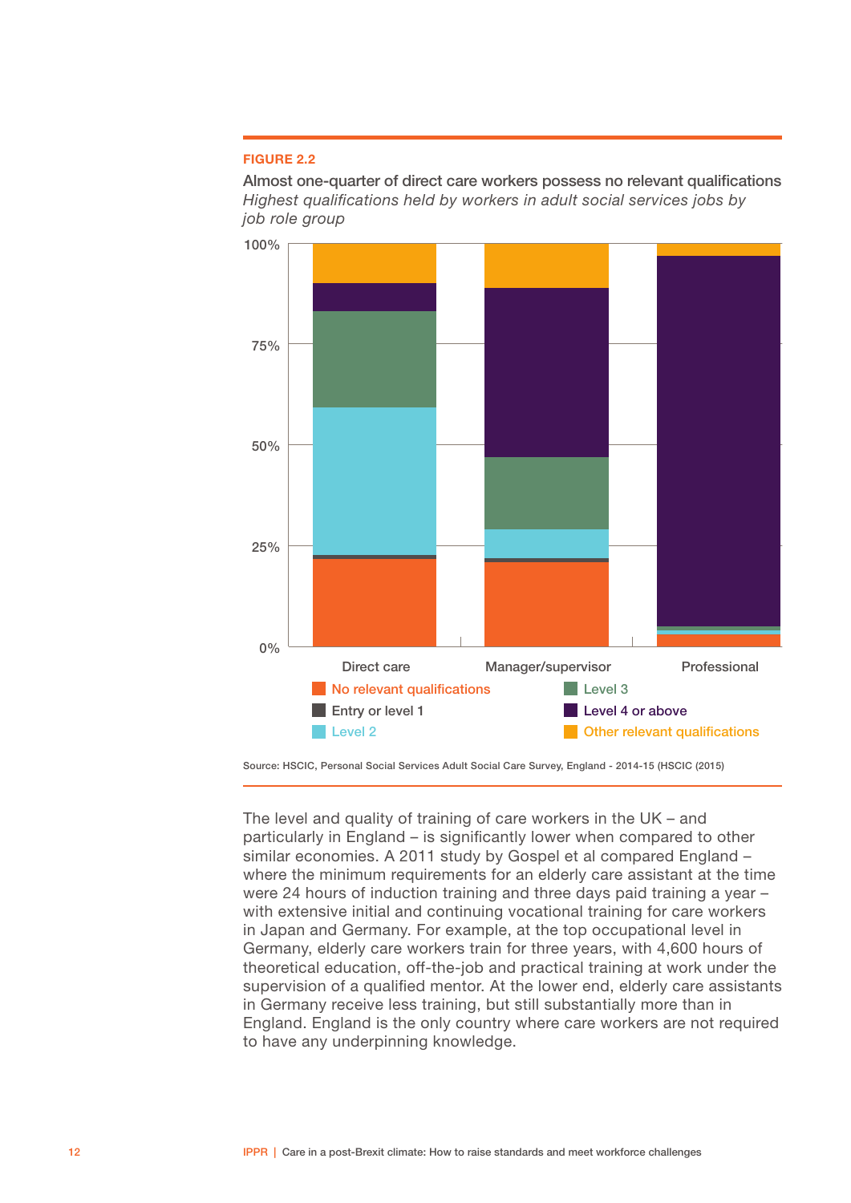#### FIGURE 2.2

Almost one-quarter of direct care workers possess no relevant qualifications *Highest qualifications held by workers in adult social services jobs by job role group*



Source: HSCIC, Personal Social Services Adult Social Care Survey, England - 2014-15 (HSCIC (2015)

The level and quality of training of care workers in the UK – and particularly in England – is significantly lower when compared to other similar economies. A 2011 study by Gospel et al compared England – where the minimum requirements for an elderly care assistant at the time were 24 hours of induction training and three days paid training a year – with extensive initial and continuing vocational training for care workers in Japan and Germany. For example, at the top occupational level in Germany, elderly care workers train for three years, with 4,600 hours of theoretical education, off-the-job and practical training at work under the supervision of a qualified mentor. At the lower end, elderly care assistants in Germany receive less training, but still substantially more than in England. England is the only country where care workers are not required to have any underpinning knowledge.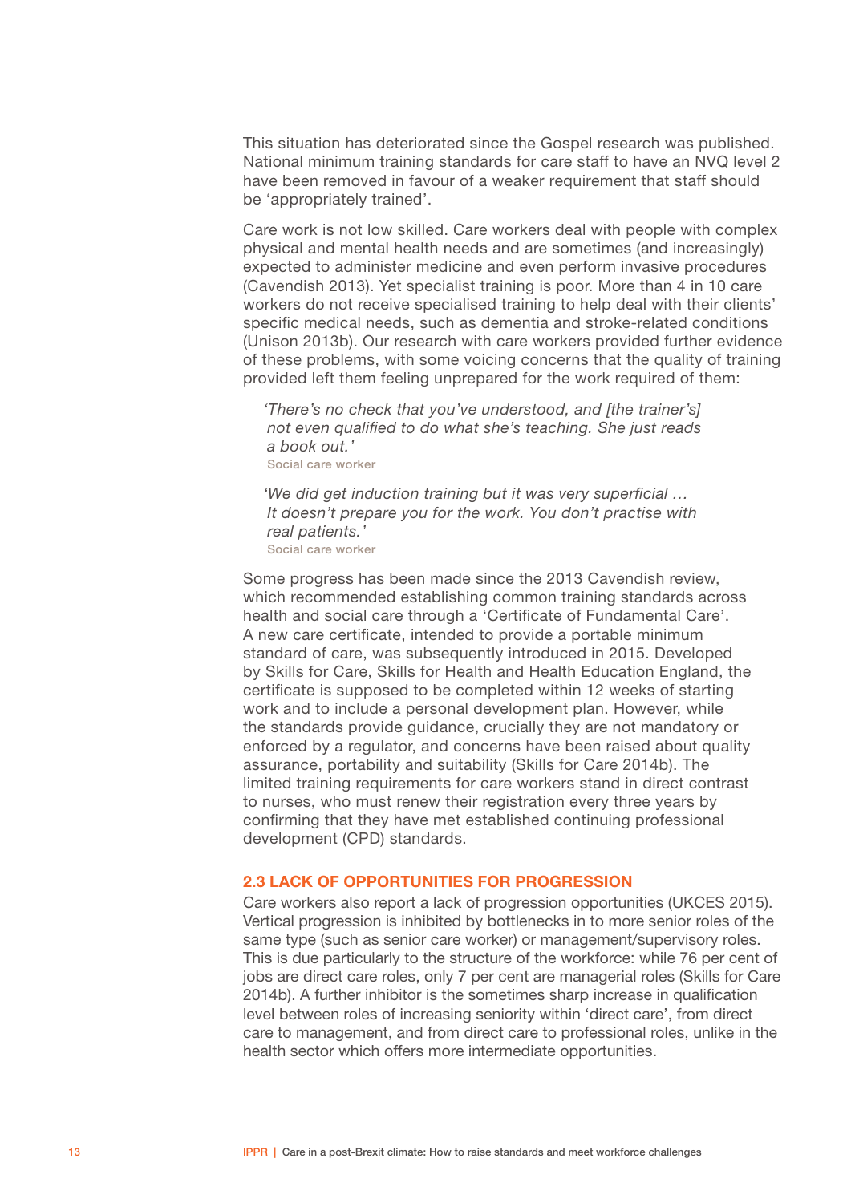<span id="page-14-0"></span>This situation has deteriorated since the Gospel research was published. National minimum training standards for care staff to have an NVQ level 2 have been removed in favour of a weaker requirement that staff should be 'appropriately trained'.

Care work is not low skilled. Care workers deal with people with complex physical and mental health needs and are sometimes (and increasingly) expected to administer medicine and even perform invasive procedures (Cavendish 2013). Yet specialist training is poor. More than 4 in 10 care workers do not receive specialised training to help deal with their clients' specific medical needs, such as dementia and stroke-related conditions (Unison 2013b). Our research with care workers provided further evidence of these problems, with some voicing concerns that the quality of training provided left them feeling unprepared for the work required of them:

*'There's no check that you've understood, and [the trainer's] not even qualified to do what she's teaching. She just reads a book out.'* Social care worker

*'We did get induction training but it was very superficial … It doesn't prepare you for the work. You don't practise with real patients.'* Social care worker

Some progress has been made since the 2013 Cavendish review, which recommended establishing common training standards across health and social care through a 'Certificate of Fundamental Care'. A new care certificate, intended to provide a portable minimum standard of care, was subsequently introduced in 2015. Developed by Skills for Care, Skills for Health and Health Education England, the certificate is supposed to be completed within 12 weeks of starting work and to include a personal development plan. However, while the standards provide guidance, crucially they are not mandatory or enforced by a regulator, and concerns have been raised about quality assurance, portability and suitability (Skills for Care 2014b). The limited training requirements for care workers stand in direct contrast to nurses, who must renew their registration every three years by confirming that they have met established continuing professional development (CPD) standards.

#### 2.3 LACK OF OPPORTUNITIES FOR PROGRESSION

Care workers also report a lack of progression opportunities (UKCES 2015). Vertical progression is inhibited by bottlenecks in to more senior roles of the same type (such as senior care worker) or management/supervisory roles. This is due particularly to the structure of the workforce: while 76 per cent of jobs are direct care roles, only 7 per cent are managerial roles (Skills for Care 2014b). A further inhibitor is the sometimes sharp increase in qualification level between roles of increasing seniority within 'direct care', from direct care to management, and from direct care to professional roles, unlike in the health sector which offers more intermediate opportunities.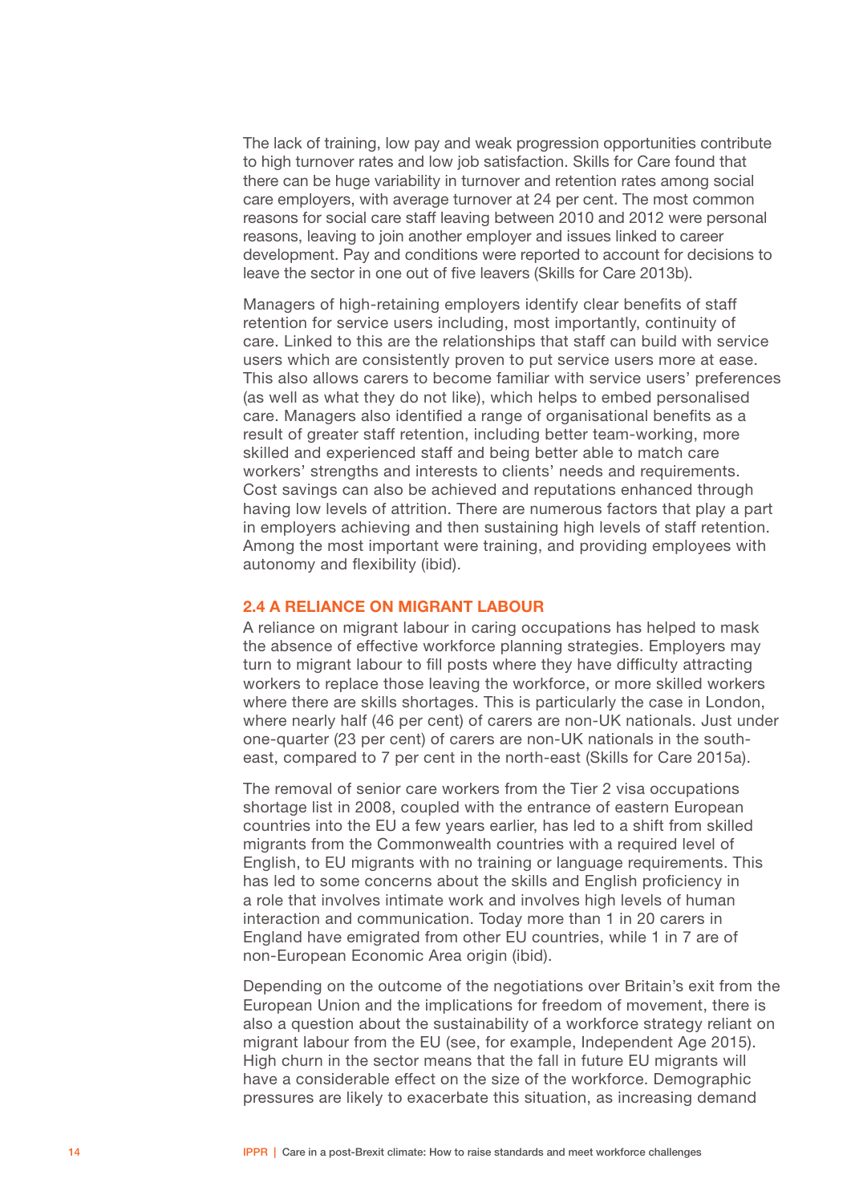<span id="page-15-0"></span>The lack of training, low pay and weak progression opportunities contribute to high turnover rates and low job satisfaction. Skills for Care found that there can be huge variability in turnover and retention rates among social care employers, with average turnover at 24 per cent. The most common reasons for social care staff leaving between 2010 and 2012 were personal reasons, leaving to join another employer and issues linked to career development. Pay and conditions were reported to account for decisions to leave the sector in one out of five leavers (Skills for Care 2013b).

Managers of high-retaining employers identify clear benefits of staff retention for service users including, most importantly, continuity of care. Linked to this are the relationships that staff can build with service users which are consistently proven to put service users more at ease. This also allows carers to become familiar with service users' preferences (as well as what they do not like), which helps to embed personalised care. Managers also identified a range of organisational benefits as a result of greater staff retention, including better team-working, more skilled and experienced staff and being better able to match care workers' strengths and interests to clients' needs and requirements. Cost savings can also be achieved and reputations enhanced through having low levels of attrition. There are numerous factors that play a part in employers achieving and then sustaining high levels of staff retention. Among the most important were training, and providing employees with autonomy and flexibility (ibid).

#### 2.4 A RELIANCE ON MIGRANT LABOUR

A reliance on migrant labour in caring occupations has helped to mask the absence of effective workforce planning strategies. Employers may turn to migrant labour to fill posts where they have difficulty attracting workers to replace those leaving the workforce, or more skilled workers where there are skills shortages. This is particularly the case in London, where nearly half (46 per cent) of carers are non-UK nationals. Just under one-quarter (23 per cent) of carers are non-UK nationals in the southeast, compared to 7 per cent in the north-east (Skills for Care 2015a).

The removal of senior care workers from the Tier 2 visa occupations shortage list in 2008, coupled with the entrance of eastern European countries into the EU a few years earlier, has led to a shift from skilled migrants from the Commonwealth countries with a required level of English, to EU migrants with no training or language requirements. This has led to some concerns about the skills and English proficiency in a role that involves intimate work and involves high levels of human interaction and communication. Today more than 1 in 20 carers in England have emigrated from other EU countries, while 1 in 7 are of non-European Economic Area origin (ibid).

Depending on the outcome of the negotiations over Britain's exit from the European Union and the implications for freedom of movement, there is also a question about the sustainability of a workforce strategy reliant on migrant labour from the EU (see, for example, Independent Age 2015). High churn in the sector means that the fall in future EU migrants will have a considerable effect on the size of the workforce. Demographic pressures are likely to exacerbate this situation, as increasing demand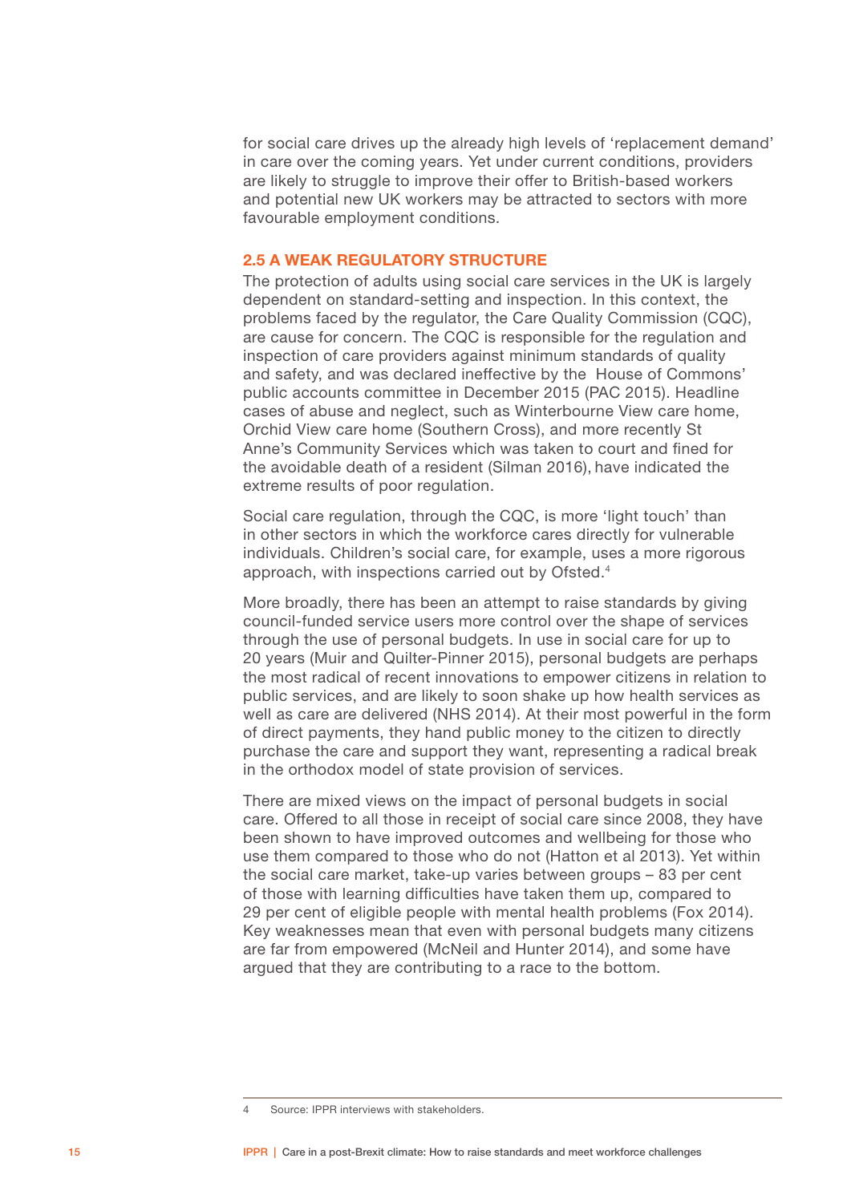<span id="page-16-0"></span>for social care drives up the already high levels of 'replacement demand' in care over the coming years. Yet under current conditions, providers are likely to struggle to improve their offer to British-based workers and potential new UK workers may be attracted to sectors with more favourable employment conditions.

### **2.5 A WEAK REGULATORY STRUCTURE**

The protection of adults using social care services in the UK is largely dependent on standard-setting and inspection. In this context, the problems faced by the regulator, the Care Quality Commission (CQC), are cause for concern. The CQC is responsible for the regulation and inspection of care providers against minimum standards of quality and safety, and was declared ineffective by the House of Commons' public accounts committee in December 2015 (PAC 2015). Headline cases of abuse and neglect, such as Winterbourne View care home, Orchid View care home (Southern Cross), and more recently St Anne's Community Services which was taken to court and fined for the avoidable death of a resident (Silman 2016), have indicated the extreme results of poor regulation.

Social care regulation, through the CQC, is more 'light touch' than in other sectors in which the workforce cares directly for vulnerable individuals. Children's social care, for example, uses a more rigorous approach, with inspections carried out by Ofsted.4

More broadly, there has been an attempt to raise standards by giving council-funded service users more control over the shape of services through the use of personal budgets. In use in social care for up to 20 years (Muir and Quilter-Pinner 2015), personal budgets are perhaps the most radical of recent innovations to empower citizens in relation to public services, and are likely to soon shake up how health services as well as care are delivered (NHS 2014). At their most powerful in the form of direct payments, they hand public money to the citizen to directly purchase the care and support they want, representing a radical break in the orthodox model of state provision of services.

There are mixed views on the impact of personal budgets in social care. Offered to all those in receipt of social care since 2008, they have been shown to have improved outcomes and wellbeing for those who use them compared to those who do not (Hatton et al 2013). Yet within the social care market, take-up varies between groups – 83 per cent of those with learning difficulties have taken them up, compared to 29 per cent of eligible people with mental health problems (Fox 2014). Key weaknesses mean that even with personal budgets many citizens are far from empowered (McNeil and Hunter 2014), and some have argued that they are contributing to a race to the bottom.

<sup>4</sup> Source: IPPR interviews with stakeholders.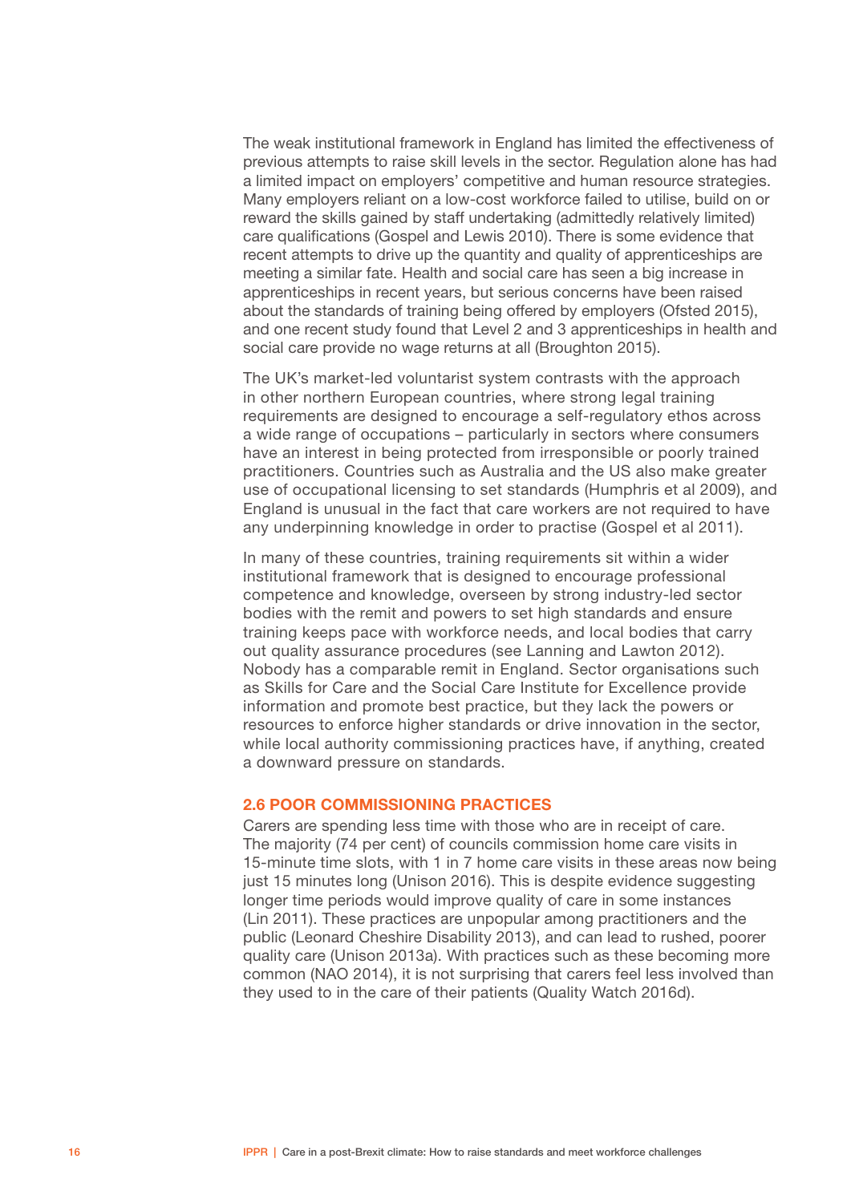<span id="page-17-0"></span>The weak institutional framework in England has limited the effectiveness of previous attempts to raise skill levels in the sector. Regulation alone has had a limited impact on employers' competitive and human resource strategies. Many employers reliant on a low-cost workforce failed to utilise, build on or reward the skills gained by staff undertaking (admittedly relatively limited) care qualifications (Gospel and Lewis 2010). There is some evidence that recent attempts to drive up the quantity and quality of apprenticeships are meeting a similar fate. Health and social care has seen a big increase in apprenticeships in recent years, but serious concerns have been raised about the standards of training being offered by employers (Ofsted 2015), and one recent study found that Level 2 and 3 apprenticeships in health and social care provide no wage returns at all (Broughton 2015).

The UK's market-led voluntarist system contrasts with the approach in other northern European countries, where strong legal training requirements are designed to encourage a self-regulatory ethos across a wide range of occupations – particularly in sectors where consumers have an interest in being protected from irresponsible or poorly trained practitioners. Countries such as Australia and the US also make greater use of occupational licensing to set standards (Humphris et al 2009), and England is unusual in the fact that care workers are not required to have any underpinning knowledge in order to practise (Gospel et al 2011).

In many of these countries, training requirements sit within a wider institutional framework that is designed to encourage professional competence and knowledge, overseen by strong industry-led sector bodies with the remit and powers to set high standards and ensure training keeps pace with workforce needs, and local bodies that carry out quality assurance procedures (see Lanning and Lawton 2012). Nobody has a comparable remit in England. Sector organisations such as Skills for Care and the Social Care Institute for Excellence provide information and promote best practice, but they lack the powers or resources to enforce higher standards or drive innovation in the sector, while local authority commissioning practices have, if anything, created a downward pressure on standards.

#### 2.6 POOR COMMISSIONING PRACTICES

Carers are spending less time with those who are in receipt of care. The majority (74 per cent) of councils commission home care visits in 15-minute time slots, with 1 in 7 home care visits in these areas now being just 15 minutes long (Unison 2016). This is despite evidence suggesting longer time periods would improve quality of care in some instances (Lin 2011). These practices are unpopular among practitioners and the public (Leonard Cheshire Disability 2013), and can lead to rushed, poorer quality care (Unison 2013a). With practices such as these becoming more common (NAO 2014), it is not surprising that carers feel less involved than they used to in the care of their patients (Quality Watch 2016d).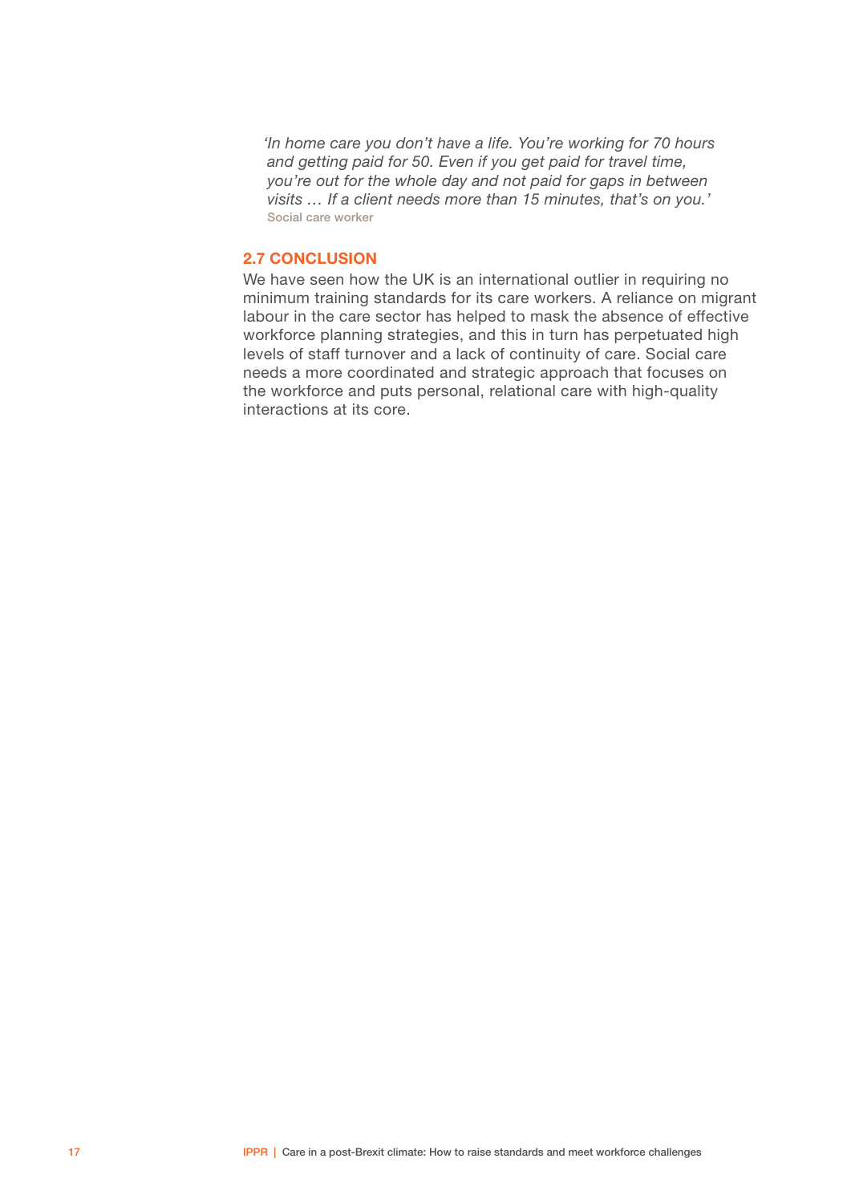<span id="page-18-0"></span>*'In home care you don't have a life. You're working for 70 hours and getting paid for 50. Even if you get paid for travel time, you're out for the whole day and not paid for gaps in between visits … If a client needs more than 15 minutes, that's on you.'* Social care worker

### 2.7 CONCLUSION

We have seen how the UK is an international outlier in requiring no minimum training standards for its care workers. A reliance on migrant labour in the care sector has helped to mask the absence of effective workforce planning strategies, and this in turn has perpetuated high levels of staff turnover and a lack of continuity of care. Social care needs a more coordinated and strategic approach that focuses on the workforce and puts personal, relational care with high-quality interactions at its core.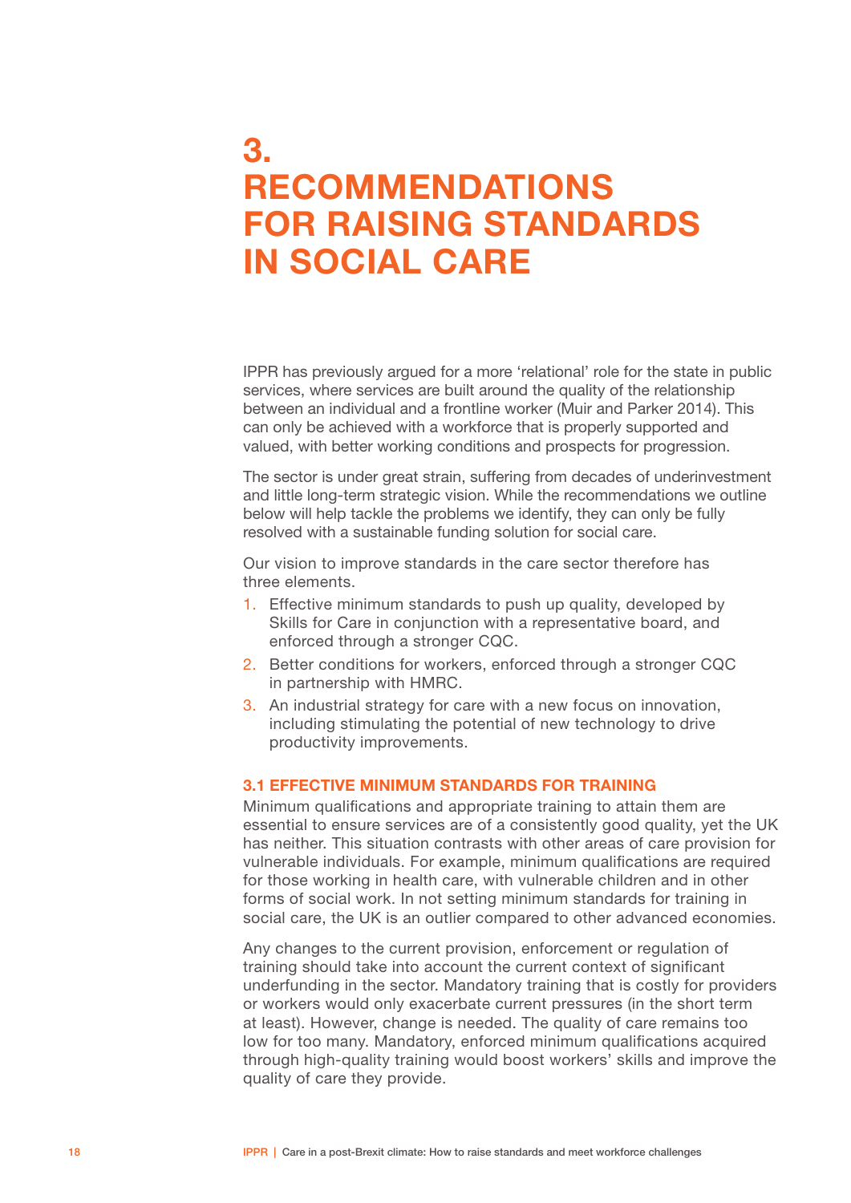### <span id="page-19-0"></span>3. RECOMMENDATIONS FOR RAISING STANDARDS IN SOCIAL CARE

IPPR has previously argued for a more 'relational' role for the state in public services, where services are built around the quality of the relationship between an individual and a frontline worker (Muir and Parker 2014). This can only be achieved with a workforce that is properly supported and valued, with better working conditions and prospects for progression.

The sector is under great strain, suffering from decades of underinvestment and little long-term strategic vision. While the recommendations we outline below will help tackle the problems we identify, they can only be fully resolved with a sustainable funding solution for social care.

Our vision to improve standards in the care sector therefore has three elements.

- 1. Effective minimum standards to push up quality, developed by Skills for Care in conjunction with a representative board, and enforced through a stronger CQC.
- 2. Better conditions for workers, enforced through a stronger CQC in partnership with HMRC.
- 3. An industrial strategy for care with a new focus on innovation, including stimulating the potential of new technology to drive productivity improvements.

### 3.1 EFFECTIVE MINIMUM STANDARDS FOR TRAINING

Minimum qualifications and appropriate training to attain them are essential to ensure services are of a consistently good quality, yet the UK has neither. This situation contrasts with other areas of care provision for vulnerable individuals. For example, minimum qualifications are required for those working in health care, with vulnerable children and in other forms of social work. In not setting minimum standards for training in social care, the UK is an outlier compared to other advanced economies.

Any changes to the current provision, enforcement or regulation of training should take into account the current context of significant underfunding in the sector. Mandatory training that is costly for providers or workers would only exacerbate current pressures (in the short term at least). However, change is needed. The quality of care remains too low for too many. Mandatory, enforced minimum qualifications acquired through high-quality training would boost workers' skills and improve the quality of care they provide.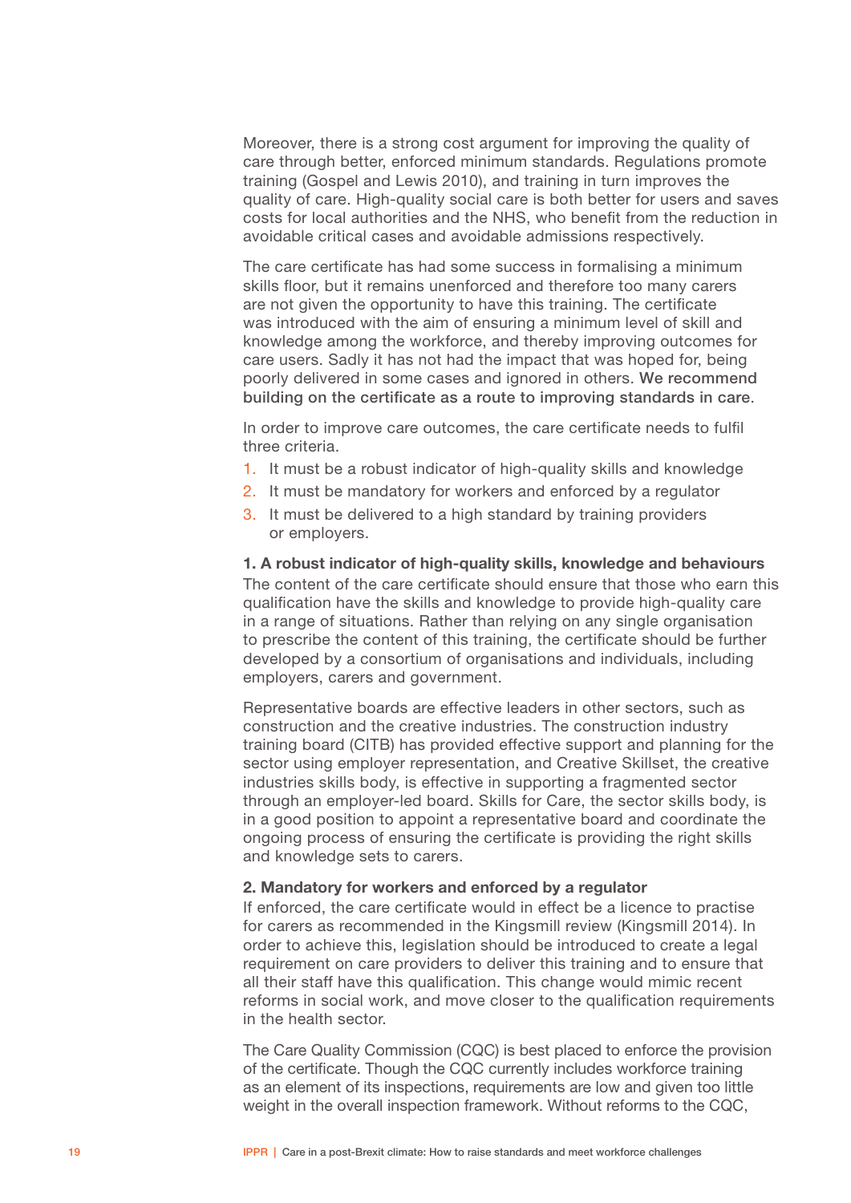Moreover, there is a strong cost argument for improving the quality of care through better, enforced minimum standards. Regulations promote training (Gospel and Lewis 2010), and training in turn improves the quality of care. High-quality social care is both better for users and saves costs for local authorities and the NHS, who benefit from the reduction in avoidable critical cases and avoidable admissions respectively.

The care certificate has had some success in formalising a minimum skills floor, but it remains unenforced and therefore too many carers are not given the opportunity to have this training. The certificate was introduced with the aim of ensuring a minimum level of skill and knowledge among the workforce, and thereby improving outcomes for care users. Sadly it has not had the impact that was hoped for, being poorly delivered in some cases and ignored in others. We recommend building on the certificate as a route to improving standards in care.

In order to improve care outcomes, the care certificate needs to fulfil three criteria.

- 1. It must be a robust indicator of high-quality skills and knowledge
- 2. It must be mandatory for workers and enforced by a regulator
- 3. It must be delivered to a high standard by training providers or employers.

1. A robust indicator of high-quality skills, knowledge and behaviours

The content of the care certificate should ensure that those who earn this qualification have the skills and knowledge to provide high-quality care in a range of situations. Rather than relying on any single organisation to prescribe the content of this training, the certificate should be further developed by a consortium of organisations and individuals, including employers, carers and government.

Representative boards are effective leaders in other sectors, such as construction and the creative industries. The construction industry training board (CITB) has provided effective support and planning for the sector using employer representation, and Creative Skillset, the creative industries skills body, is effective in supporting a fragmented sector through an employer-led board. Skills for Care, the sector skills body, is in a good position to appoint a representative board and coordinate the ongoing process of ensuring the certificate is providing the right skills and knowledge sets to carers.

#### 2. Mandatory for workers and enforced by a regulator

If enforced, the care certificate would in effect be a licence to practise for carers as recommended in the Kingsmill review (Kingsmill 2014). In order to achieve this, legislation should be introduced to create a legal requirement on care providers to deliver this training and to ensure that all their staff have this qualification. This change would mimic recent reforms in social work, and move closer to the qualification requirements in the health sector.

The Care Quality Commission (CQC) is best placed to enforce the provision of the certificate. Though the CQC currently includes workforce training as an element of its inspections, requirements are low and given too little weight in the overall inspection framework. Without reforms to the CQC,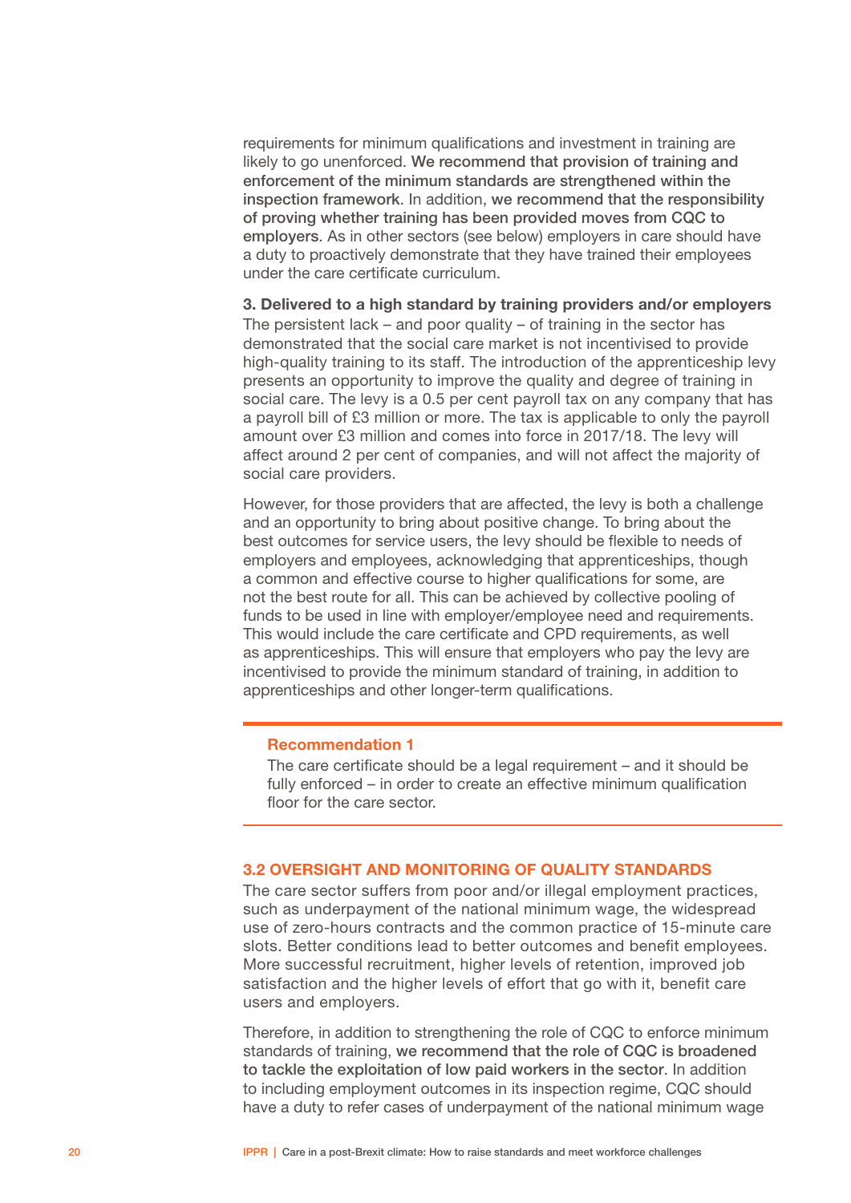<span id="page-21-0"></span>requirements for minimum qualifications and investment in training are likely to go unenforced. We recommend that provision of training and enforcement of the minimum standards are strengthened within the inspection framework. In addition, we recommend that the responsibility of proving whether training has been provided moves from CQC to employers. As in other sectors (see below) employers in care should have a duty to proactively demonstrate that they have trained their employees under the care certificate curriculum.

3. Delivered to a high standard by training providers and/or employers The persistent lack – and poor quality – of training in the sector has demonstrated that the social care market is not incentivised to provide high-quality training to its staff. The introduction of the apprenticeship levy presents an opportunity to improve the quality and degree of training in social care. The levy is a 0.5 per cent payroll tax on any company that has a payroll bill of £3 million or more. The tax is applicable to only the payroll amount over £3 million and comes into force in 2017/18. The levy will affect around 2 per cent of companies, and will not affect the majority of social care providers.

However, for those providers that are affected, the levy is both a challenge and an opportunity to bring about positive change. To bring about the best outcomes for service users, the levy should be flexible to needs of employers and employees, acknowledging that apprenticeships, though a common and effective course to higher qualifications for some, are not the best route for all. This can be achieved by collective pooling of funds to be used in line with employer/employee need and requirements. This would include the care certificate and CPD requirements, as well as apprenticeships. This will ensure that employers who pay the levy are incentivised to provide the minimum standard of training, in addition to apprenticeships and other longer-term qualifications.

#### Recommendation 1

The care certificate should be a legal requirement – and it should be fully enforced – in order to create an effective minimum qualification floor for the care sector.

### 3.2 OVERSIGHT AND MONITORING OF QUALITY STANDARDS

The care sector suffers from poor and/or illegal employment practices, such as underpayment of the national minimum wage, the widespread use of zero-hours contracts and the common practice of 15-minute care slots. Better conditions lead to better outcomes and benefit employees. More successful recruitment, higher levels of retention, improved job satisfaction and the higher levels of effort that go with it, benefit care users and employers.

Therefore, in addition to strengthening the role of CQC to enforce minimum standards of training, we recommend that the role of CQC is broadened to tackle the exploitation of low paid workers in the sector. In addition to including employment outcomes in its inspection regime, CQC should have a duty to refer cases of underpayment of the national minimum wage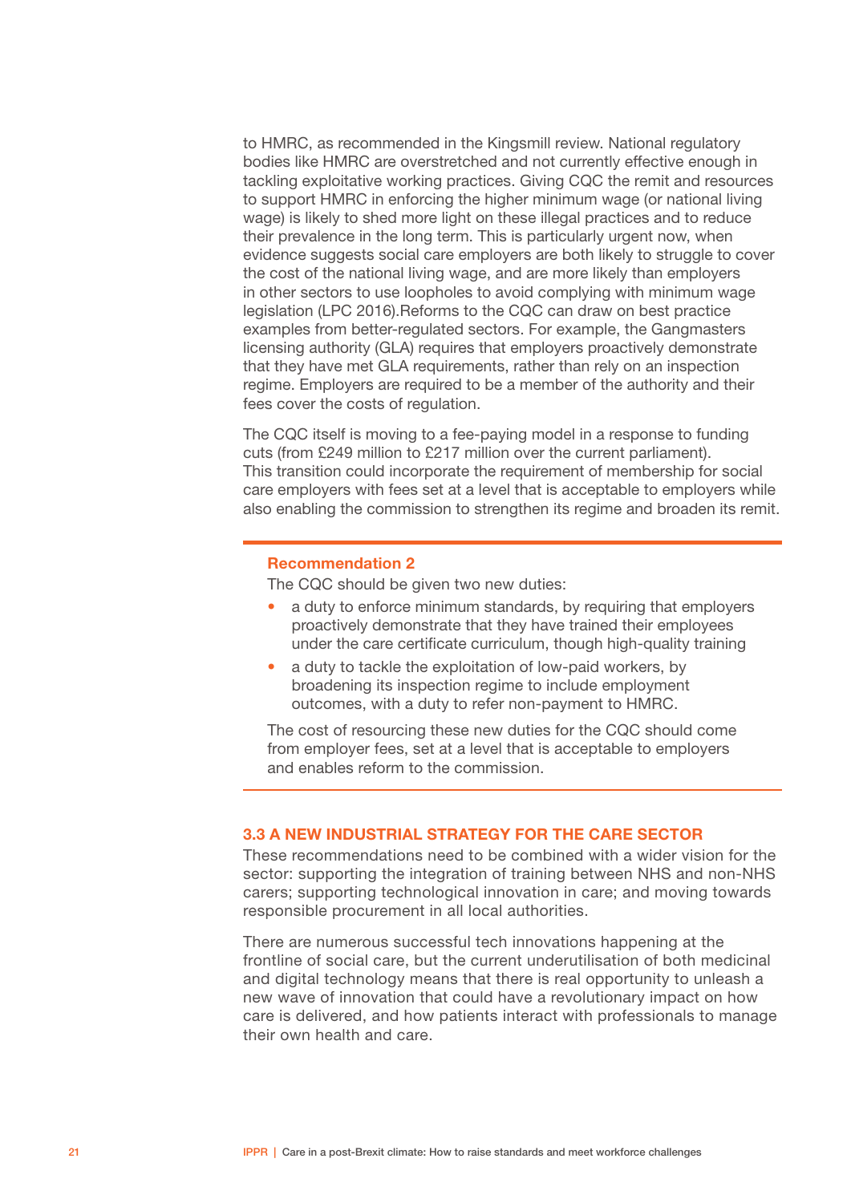<span id="page-22-0"></span>to HMRC, as recommended in the Kingsmill review. National regulatory bodies like HMRC are overstretched and not currently effective enough in tackling exploitative working practices. Giving CQC the remit and resources to support HMRC in enforcing the higher minimum wage (or national living wage) is likely to shed more light on these illegal practices and to reduce their prevalence in the long term. This is particularly urgent now, when evidence suggests social care employers are both likely to struggle to cover the cost of the national living wage, and are more likely than employers in other sectors to use loopholes to avoid complying with minimum wage legislation (LPC 2016).Reforms to the CQC can draw on best practice examples from better-regulated sectors. For example, the Gangmasters licensing authority (GLA) requires that employers proactively demonstrate that they have met GLA requirements, rather than rely on an inspection regime. Employers are required to be a member of the authority and their fees cover the costs of regulation.

The CQC itself is moving to a fee-paying model in a response to funding cuts (from £249 million to £217 million over the current parliament). This transition could incorporate the requirement of membership for social care employers with fees set at a level that is acceptable to employers while also enabling the commission to strengthen its regime and broaden its remit.

#### Recommendation 2

The CQC should be given two new duties:

- a duty to enforce minimum standards, by requiring that employers proactively demonstrate that they have trained their employees under the care certificate curriculum, though high-quality training
- a duty to tackle the exploitation of low-paid workers, by broadening its inspection regime to include employment outcomes, with a duty to refer non-payment to HMRC.

The cost of resourcing these new duties for the CQC should come from employer fees, set at a level that is acceptable to employers and enables reform to the commission.

#### 3.3 A NEW INDUSTRIAL STRATEGY FOR THE CARE SECTOR

These recommendations need to be combined with a wider vision for the sector: supporting the integration of training between NHS and non-NHS carers; supporting technological innovation in care; and moving towards responsible procurement in all local authorities.

There are numerous successful tech innovations happening at the frontline of social care, but the current underutilisation of both medicinal and digital technology means that there is real opportunity to unleash a new wave of innovation that could have a revolutionary impact on how care is delivered, and how patients interact with professionals to manage their own health and care.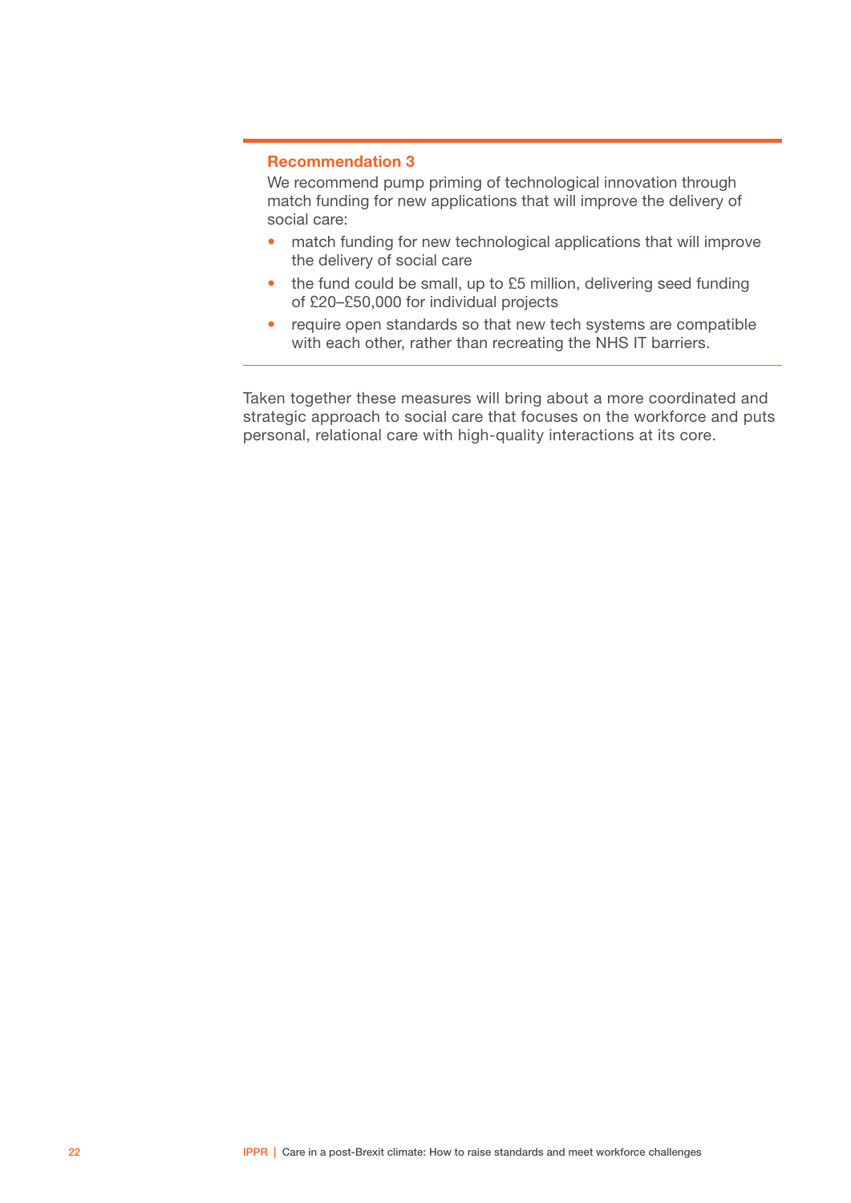#### Recommendation 3

We recommend pump priming of technological innovation through match funding for new applications that will improve the delivery of social care:

- match funding for new technological applications that will improve the delivery of social care
- the fund could be small, up to £5 million, delivering seed funding of £20–£50,000 for individual projects
- require open standards so that new tech systems are compatible with each other, rather than recreating the NHS IT barriers.

Taken together these measures will bring about a more coordinated and strategic approach to social care that focuses on the workforce and puts personal, relational care with high-quality interactions at its core.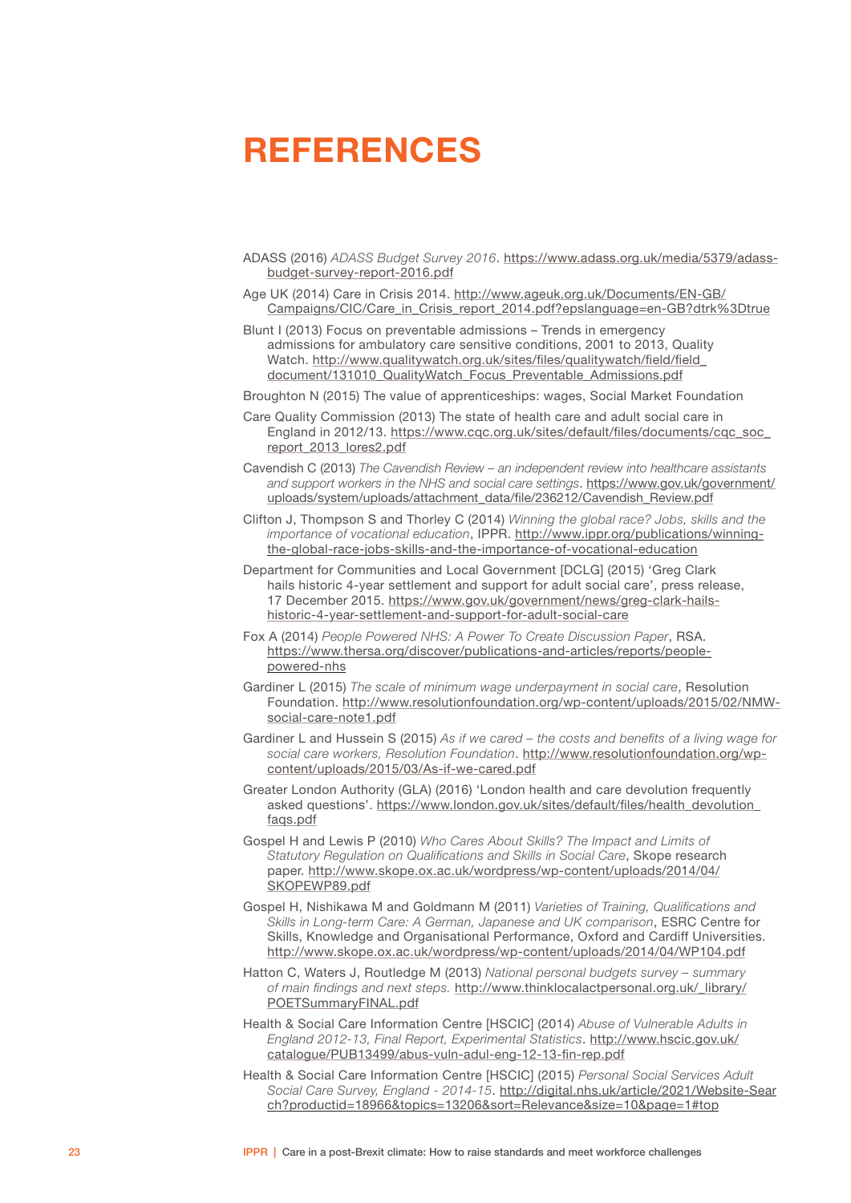## <span id="page-24-0"></span>REFERENCES

- ADASS (2016) *ADASS Budget Survey 2016*. [https://www.adass.org.uk/media/5379/adass](https://www.adass.org.uk/media/5379/adass-budget-survey-report-2016.pdf)[budget-survey-report-2016.pdf](https://www.adass.org.uk/media/5379/adass-budget-survey-report-2016.pdf)
- Age UK (2014) Care in Crisis 2014. [http://www.ageuk.org.uk/Documents/EN-GB/](http://www.ageuk.org.uk/Documents/EN-GB/Campaigns/CIC/Care_in_Crisis_report_2014.pdf?epslanguage=en-GB?dtrk%253Dtrue) [Campaigns/CIC/Care\\_in\\_Crisis\\_report\\_2014.pdf?epslanguage=en-GB?dtrk%3Dtrue](http://www.ageuk.org.uk/Documents/EN-GB/Campaigns/CIC/Care_in_Crisis_report_2014.pdf?epslanguage=en-GB?dtrk%253Dtrue)
- Blunt I (2013) Focus on preventable admissions Trends in emergency admissions for ambulatory care sensitive conditions, 2001 to 2013, Quality Watch. [http://www.qualitywatch.org.uk/sites/files/qualitywatch/field/field\\_](http://www.qualitywatch.org.uk/sites/files/qualitywatch/field/field_document/131010_QualityWatch_Focus_Preventable_Admissions.pdf) [document/131010\\_QualityWatch\\_Focus\\_Preventable\\_Admissions.pdf](http://www.qualitywatch.org.uk/sites/files/qualitywatch/field/field_document/131010_QualityWatch_Focus_Preventable_Admissions.pdf)

Broughton N (2015) The value of apprenticeships: wages, Social Market Foundation

- Care Quality Commission (2013) The state of health care and adult social care in England in 2012/13. [https://www.cqc.org.uk/sites/default/files/documents/cqc\\_soc\\_](https://www.cqc.org.uk/sites/default/files/documents/cqc_soc_report_2013_lores2.pdf) [report\\_2013\\_lores2.pdf](https://www.cqc.org.uk/sites/default/files/documents/cqc_soc_report_2013_lores2.pdf)
- Cavendish C (2013) *The Cavendish Review an independent review into healthcare assistants and support workers in the NHS and social care settings*. [https://www.gov.uk/government/](https://www.gov.uk/government/uploads/system/uploads/attachment_data/file/236212/Cavendish_Review.pdf) [uploads/system/uploads/attachment\\_data/file/236212/Cavendish\\_Review.pdf](https://www.gov.uk/government/uploads/system/uploads/attachment_data/file/236212/Cavendish_Review.pdf)
- Clifton J, Thompson S and Thorley C (2014) *Winning the global race? Jobs, skills and the importance of vocational education*, IPPR. [http://www.ippr.org/publications/winning](http://www.ippr.org/publications/winning-the-global-race-jobs-skills-and-the-importance-of-vocational-education)[the-global-race-jobs-skills-and-the-importance-of-vocational-education](http://www.ippr.org/publications/winning-the-global-race-jobs-skills-and-the-importance-of-vocational-education)
- Department for Communities and Local Government [DCLG] (2015) 'Greg Clark hails historic 4-year settlement and support for adult social care', press release, 17 December 2015. [https://www.gov.uk/government/news/greg-clark-hails](https://www.gov.uk/government/news/greg-clark-hails-historic-4-year-settlement-and-support-for-adult-social-care)[historic-4-year-settlement-and-support-for-adult-social-care](https://www.gov.uk/government/news/greg-clark-hails-historic-4-year-settlement-and-support-for-adult-social-care)
- Fox A (2014) *People Powered NHS: A Power To Create Discussion Paper*, RSA. [https://www.thersa.org/discover/publications-and-articles/reports/people](https://www.thersa.org/discover/publications-and-articles/reports/people-powered-nhs)[powered-nhs](https://www.thersa.org/discover/publications-and-articles/reports/people-powered-nhs)
- Gardiner L (2015) *The scale of minimum wage underpayment in social care*, Resolution Foundation. [http://www.resolutionfoundation.org/wp-content/uploads/2015/02/NMW](http://www.resolutionfoundation.org/wp-content/uploads/2015/02/NMW-social-care-note1.pdf)[social-care-note1.pdf](http://www.resolutionfoundation.org/wp-content/uploads/2015/02/NMW-social-care-note1.pdf)
- Gardiner L and Hussein S (2015) *As if we cared the costs and benefits of a living wage for social care workers, Resolution Foundation*. [http://www.resolutionfoundation.org/wp](http://www.resolutionfoundation.org/wp-content/uploads/2015/03/As-if-we-cared.pdf)[content/uploads/2015/03/As-if-we-cared.pdf](http://www.resolutionfoundation.org/wp-content/uploads/2015/03/As-if-we-cared.pdf)
- Greater London Authority (GLA) (2016) 'London health and care devolution frequently asked questions'. [https://www.london.gov.uk/sites/default/files/health\\_devolution\\_](https://www.london.gov.uk/sites/default/files/health_devolution_faqs.pdf) [faqs.pdf](https://www.london.gov.uk/sites/default/files/health_devolution_faqs.pdf)
- Gospel H and Lewis P (2010) *Who Cares About Skills? The Impact and Limits of Statutory Regulation on Qualifications and Skills in Social Care*, Skope research paper. [http://www.skope.ox.ac.uk/wordpress/wp-content/uploads/2014/04/](http://www.skope.ox.ac.uk/wordpress/wp-content/uploads/2014/04/SKOPEWP89.pdf) [SKOPEWP89.pdf](http://www.skope.ox.ac.uk/wordpress/wp-content/uploads/2014/04/SKOPEWP89.pdf)
- Gospel H, Nishikawa M and Goldmann M (2011) *Varieties of Training, Qualifications and Skills in Long-term Care: A German, Japanese and UK comparison*, ESRC Centre for Skills, Knowledge and Organisational Performance, Oxford and Cardiff Universities. <http://www.skope.ox.ac.uk/wordpress/wp-content/uploads/2014/04/WP104.pdf>
- Hatton C, Waters J, Routledge M (2013) *National personal budgets survey summary of main findings and next steps.* [http://www.thinklocalactpersonal.org.uk/\\_library/](http://www.thinklocalactpersonal.org.uk/_library/POETSummaryFINAL.pdf) [POETSummaryFINAL.pdf](http://www.thinklocalactpersonal.org.uk/_library/POETSummaryFINAL.pdf)
- Health & Social Care Information Centre [HSCIC] (2014) *Abuse of Vulnerable Adults in England 2012-13, Final Report, Experimental Statistics*. [http://www.hscic.gov.uk/](http://www.hscic.gov.uk/catalogue/PUB13499/abus-vuln-adul-eng-12-13-fin-rep.pdf) [catalogue/PUB13499/abus-vuln-adul-eng-12-13-fin-rep.pdf](http://www.hscic.gov.uk/catalogue/PUB13499/abus-vuln-adul-eng-12-13-fin-rep.pdf)
- Health & Social Care Information Centre [HSCIC] (2015) *Personal Social Services Adult Social Care Survey, England - 2014-15*. [http://digital.nhs.uk/article/2021/Website-Sear](http://digital.nhs.uk/article/2021/Website-Search?productid=18966&topics=13206&sort=Relevance&size=10&page=1#top) [ch?productid=18966&topics=13206&sort=Relevance&size=10&page=1#top](http://digital.nhs.uk/article/2021/Website-Search?productid=18966&topics=13206&sort=Relevance&size=10&page=1#top)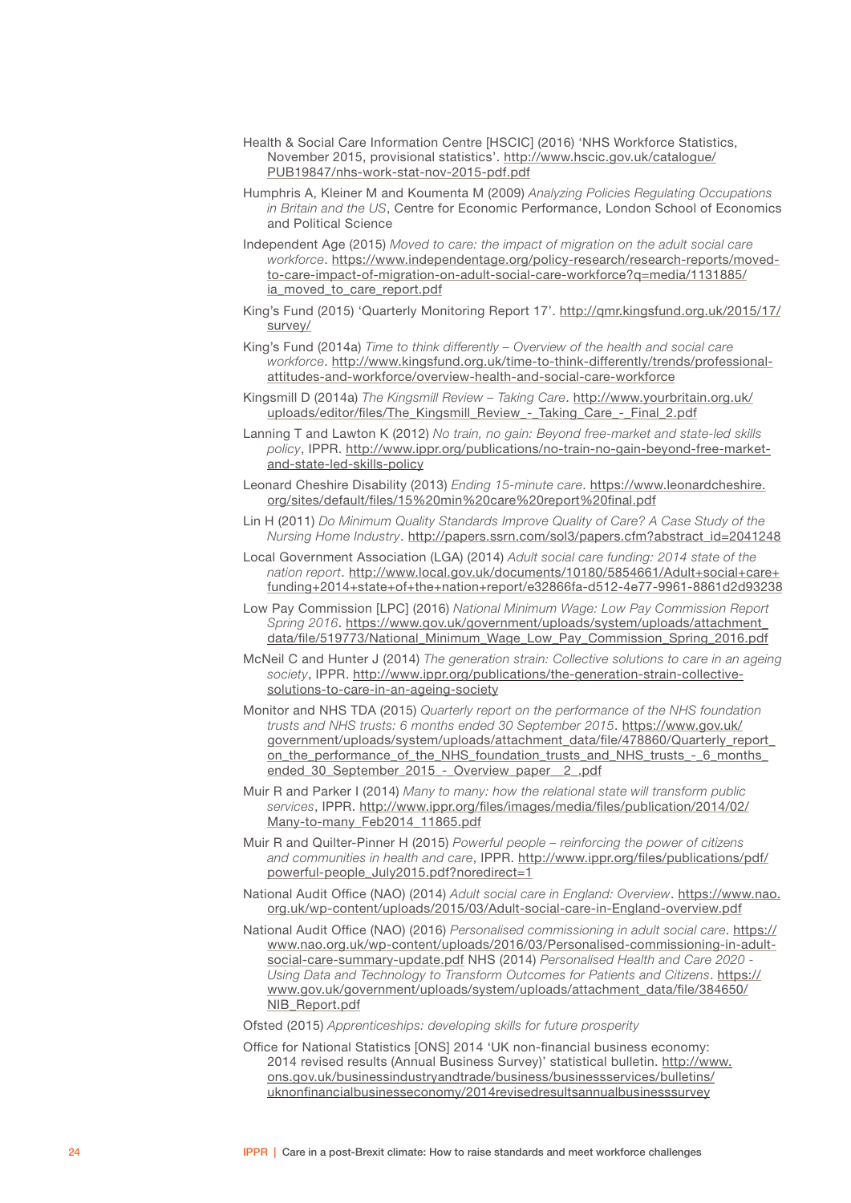- Health & Social Care Information Centre [HSCIC] (2016) 'NHS Workforce Statistics, November 2015, provisional statistics'. [http://www.hscic.gov.uk/catalogue/](http://www.hscic.gov.uk/catalogue/pub19847/nhs-work-stat-nov-2015-pdf.pdf) [PUB19847/nhs-work-stat-nov-2015-pdf.pdf](http://www.hscic.gov.uk/catalogue/pub19847/nhs-work-stat-nov-2015-pdf.pdf)
- Humphris A, Kleiner M and Koumenta M (2009) *Analyzing Policies Regulating Occupations in Britain and the US*, Centre for Economic Performance, London School of Economics and Political Science
- Independent Age (2015) *Moved to care: the impact of migration on the adult social care workforce*. [https://www.independentage.org/policy-research/research-reports/moved](https://www.independentage.org/policy-research/research-reports/moved-to-care-impact-of-migration-on-adult-social-care-workforce?q=media/1131885/ia_moved_to_care_report.pdf)[to-care-impact-of-migration-on-adult-social-care-workforce?q=media/1131885/](https://www.independentage.org/policy-research/research-reports/moved-to-care-impact-of-migration-on-adult-social-care-workforce?q=media/1131885/ia_moved_to_care_report.pdf) [ia\\_moved\\_to\\_care\\_report.pdf](https://www.independentage.org/policy-research/research-reports/moved-to-care-impact-of-migration-on-adult-social-care-workforce?q=media/1131885/ia_moved_to_care_report.pdf)
- King's Fund (2015) 'Quarterly Monitoring Report 17'. [http://qmr.kingsfund.org.uk/2015/17/](http://qmr.kingsfund.org.uk/2015/17/survey/) [survey/](http://qmr.kingsfund.org.uk/2015/17/survey/)
- King's Fund (2014a) *Time to think differently Overview of the health and social care workforce*. [http://www.kingsfund.org.uk/time-to-think-differently/trends/professional](http://www.kingsfund.org.uk/time-to-think-differently/trends/professional-attitudes-and-workforce/overview-health-and-social-care-workforce)[attitudes-and-workforce/overview-health-and-social-care-workforce](http://www.kingsfund.org.uk/time-to-think-differently/trends/professional-attitudes-and-workforce/overview-health-and-social-care-workforce)
- Kingsmill D (2014a) *The Kingsmill Review Taking Care*. [http://www.yourbritain.org.uk/](http://www.yourbritain.org.uk/uploads/editor/files/The_Kingsmill_Review_-_Taking_Care_-_Final_2.pdf) [uploads/editor/files/The\\_Kingsmill\\_Review\\_-\\_Taking\\_Care\\_-\\_Final\\_2.pdf](http://www.yourbritain.org.uk/uploads/editor/files/The_Kingsmill_Review_-_Taking_Care_-_Final_2.pdf)
- Lanning T and Lawton K (2012) *No train, no gain: Beyond free-market and state-led skills policy*, IPPR. [http://www.ippr.org/publications/no-train-no-gain-beyond-free-market](http://www.ippr.org/publications/no-train-no-gain-beyond-free-market-and-state-led-skills-policy)[and-state-led-skills-policy](http://www.ippr.org/publications/no-train-no-gain-beyond-free-market-and-state-led-skills-policy)
- Leonard Cheshire Disability (2013) *Ending 15-minute care*. [https://www.leonardcheshire.](https://www.leonardcheshire.org/sites/default/files/15%2520min%2520care%2520report%2520final.pdf) [org/sites/default/files/15%20min%20care%20report%20final.pdf](https://www.leonardcheshire.org/sites/default/files/15%2520min%2520care%2520report%2520final.pdf)
- Lin H (2011) *Do Minimum Quality Standards Improve Quality of Care? A Case Study of the Nursing Home Industry*. [http://papers.ssrn.com/sol3/papers.cfm?abstract\\_id=2041248](http://papers.ssrn.com/sol3/papers.cfm?abstract_id=2041248)
- Local Government Association (LGA) (2014) *Adult social care funding: 2014 state of the nation report*. [http://www.local.gov.uk/documents/10180/5854661/Adult+social+care+](http://www.local.gov.uk/documents/10180/5854661/Adult+social+care+funding+2014+state+of+the+nation+report/e32866fa-d512-4e77-9961-8861d2d93238) [funding+2014+state+of+the+nation+report/e32866fa-d512-4e77-9961-8861d2d93238](http://www.local.gov.uk/documents/10180/5854661/Adult+social+care+funding+2014+state+of+the+nation+report/e32866fa-d512-4e77-9961-8861d2d93238)
- Low Pay Commission [LPC] (2016) *National Minimum Wage: Low Pay Commission Report Spring 2016*. [https://www.gov.uk/government/uploads/system/uploads/attachment\\_](https://www.gov.uk/government/uploads/system/uploads/attachment_data/file/519773/National_Minimum_Wage_Low_Pay_Commission_Spring_2016.pdf) [data/file/519773/National\\_Minimum\\_Wage\\_Low\\_Pay\\_Commission\\_Spring\\_2016.pdf](https://www.gov.uk/government/uploads/system/uploads/attachment_data/file/519773/National_Minimum_Wage_Low_Pay_Commission_Spring_2016.pdf)
- McNeil C and Hunter J (2014) *The generation strain: Collective solutions to care in an ageing society*, IPPR. [http://www.ippr.org/publications/the-generation-strain-collective](http://www.ippr.org/publications/the-generation-strain-collective-solutions-to-care-in-an-ageing-society)[solutions-to-care-in-an-ageing-society](http://www.ippr.org/publications/the-generation-strain-collective-solutions-to-care-in-an-ageing-society)
- Monitor and NHS TDA (2015) *Quarterly report on the performance of the NHS foundation trusts and NHS trusts: 6 months ended 30 September 2015*. [https://www.gov.uk/](https://www.gov.uk/government/uploads/system/uploads/attachment_data/file/478860/Quarterly_report_on_the_performance_of_the_NHS_foundation_trusts_and_NHS_trusts_-_6_months_ended_30_September_2015_-_Overview_paper__2_.pdf) [government/uploads/system/uploads/attachment\\_data/file/478860/Quarterly\\_report\\_](https://www.gov.uk/government/uploads/system/uploads/attachment_data/file/478860/Quarterly_report_on_the_performance_of_the_NHS_foundation_trusts_and_NHS_trusts_-_6_months_ended_30_September_2015_-_Overview_paper__2_.pdf) [on\\_the\\_performance\\_of\\_the\\_NHS\\_foundation\\_trusts\\_and\\_NHS\\_trusts\\_-\\_6\\_months\\_](https://www.gov.uk/government/uploads/system/uploads/attachment_data/file/478860/Quarterly_report_on_the_performance_of_the_NHS_foundation_trusts_and_NHS_trusts_-_6_months_ended_30_September_2015_-_Overview_paper__2_.pdf) ended 30 September 2015 - Overview paper 2 .pdf
- Muir R and Parker I (2014) *Many to many: how the relational state will transform public services*, IPPR. [http://www.ippr.org/files/images/media/files/publication/2014/02/](http://www.ippr.org/files/images/media/files/publication/2014/02/Many-to-many_Feb2014_11865.pdf) [Many-to-many\\_Feb2014\\_11865.pdf](http://www.ippr.org/files/images/media/files/publication/2014/02/Many-to-many_Feb2014_11865.pdf)
- Muir R and Quilter-Pinner H (2015) *Powerful people reinforcing the power of citizens and communities in health and care*, IPPR. [http://www.ippr.org/files/publications/pdf/](http://www.ippr.org/files/publications/pdf/powerful-people_July2015.pdf?noredirect=1) [powerful-people\\_July2015.pdf?noredirect=1](http://www.ippr.org/files/publications/pdf/powerful-people_July2015.pdf?noredirect=1)
- National Audit Office (NAO) (2014) *Adult social care in England: Overview*. [https://www.nao.](https://www.nao.org.uk/wp-content/uploads/2015/03/Adult-social-care-in-England-overview.pdf) [org.uk/wp-content/uploads/2015/03/Adult-social-care-in-England-overview.pdf](https://www.nao.org.uk/wp-content/uploads/2015/03/Adult-social-care-in-England-overview.pdf)
- National Audit Office (NAO) (2016) *Personalised commissioning in adult social care*. [https://](https://www.nao.org.uk/wp-content/uploads/2016/03/Personalised-commissioning-in-adult-social-care-summary-update.pdf) [www.nao.org.uk/wp-content/uploads/2016/03/Personalised-commissioning-in-adult](https://www.nao.org.uk/wp-content/uploads/2016/03/Personalised-commissioning-in-adult-social-care-summary-update.pdf)[social-care-summary-update.pdf](https://www.nao.org.uk/wp-content/uploads/2016/03/Personalised-commissioning-in-adult-social-care-summary-update.pdf) NHS (2014) *Personalised Health and Care 2020 - Using Data and Technology to Transform Outcomes for Patients and Citizens*. [https://](https://www.gov.uk/government/uploads/system/uploads/attachment_data/file/384650/NIB_Report.pdf) [www.gov.uk/government/uploads/system/uploads/attachment\\_data/file/384650/](https://www.gov.uk/government/uploads/system/uploads/attachment_data/file/384650/NIB_Report.pdf) [NIB\\_Report.pdf](https://www.gov.uk/government/uploads/system/uploads/attachment_data/file/384650/NIB_Report.pdf)

Ofsted (2015) *Apprenticeships: developing skills for future prosperity*

Office for National Statistics [ONS] 2014 'UK non-financial business economy: 2014 revised results (Annual Business Survey)' statistical bulletin. [http://www.](http://www.ons.gov.uk/businessindustryandtrade/business/businessservices/bulletins/uknonfinancialbusinesseconomy/2014revisedresultsannualbusinesssurvey) [ons.gov.uk/businessindustryandtrade/business/businessservices/bulletins/](http://www.ons.gov.uk/businessindustryandtrade/business/businessservices/bulletins/uknonfinancialbusinesseconomy/2014revisedresultsannualbusinesssurvey) [uknonfinancialbusinesseconomy/2014revisedresultsannualbusinesssurvey](http://www.ons.gov.uk/businessindustryandtrade/business/businessservices/bulletins/uknonfinancialbusinesseconomy/2014revisedresultsannualbusinesssurvey)